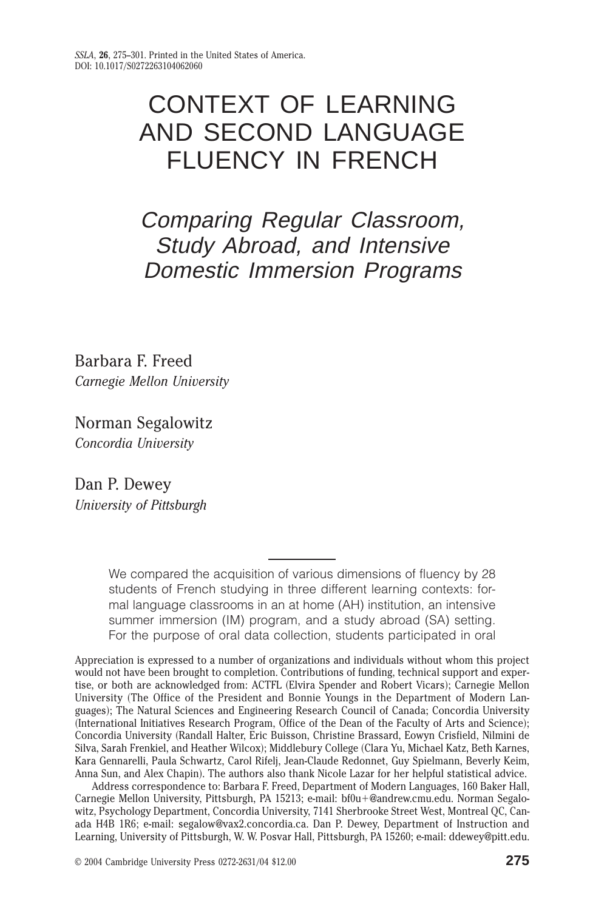# CONTEXT OF LEARNING AND SECOND LANGUAGE FLUENCY IN FRENCH

Comparing Regular Classroom, Study Abroad, and Intensive Domestic Immersion Programs

Barbara F. Freed *Carnegie Mellon University*

Norman Segalowitz *Concordia University*

Dan P. Dewey *University of Pittsburgh*

> We compared the acquisition of various dimensions of fluency by 28 students of French studying in three different learning contexts: formal language classrooms in an at home (AH) institution, an intensive summer immersion (IM) program, and a study abroad (SA) setting. For the purpose of oral data collection, students participated in oral

Appreciation is expressed to a number of organizations and individuals without whom this project would not have been brought to completion. Contributions of funding, technical support and expertise, or both are acknowledged from: ACTFL (Elvira Spender and Robert Vicars); Carnegie Mellon University (The Office of the President and Bonnie Youngs in the Department of Modern Languages); The Natural Sciences and Engineering Research Council of Canada; Concordia University (International Initiatives Research Program, Office of the Dean of the Faculty of Arts and Science); Concordia University (Randall Halter, Eric Buisson, Christine Brassard, Eowyn Crisfield, Nilmini de Silva, Sarah Frenkiel, and Heather Wilcox); Middlebury College (Clara Yu, Michael Katz, Beth Karnes, Kara Gennarelli, Paula Schwartz, Carol Rifelj, Jean-Claude Redonnet, Guy Spielmann, Beverly Keim, Anna Sun, and Alex Chapin). The authors also thank Nicole Lazar for her helpful statistical advice.

Address correspondence to: Barbara F. Freed, Department of Modern Languages, 160 Baker Hall, Carnegie Mellon University, Pittsburgh, PA 15213; e-mail: bf0u+@andrew.cmu.edu. Norman Segalowitz, Psychology Department, Concordia University, 7141 Sherbrooke Street West, Montreal QC, Canada H4B 1R6; e-mail: segalow@vax2.concordia.ca. Dan P. Dewey, Department of Instruction and Learning, University of Pittsburgh, W. W. Posvar Hall, Pittsburgh, PA 15260; e-mail: ddewey@pitt.edu.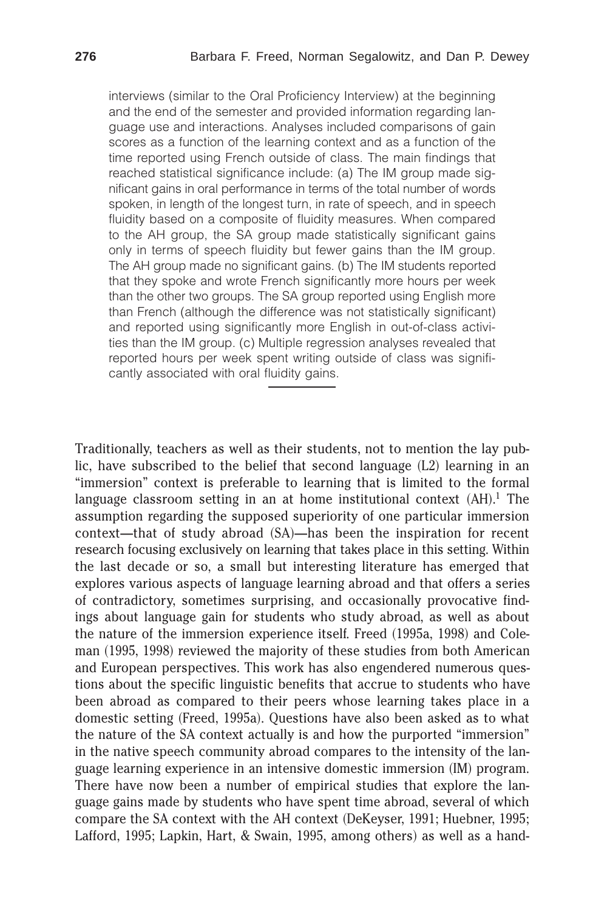interviews (similar to the Oral Proficiency Interview) at the beginning and the end of the semester and provided information regarding language use and interactions. Analyses included comparisons of gain scores as a function of the learning context and as a function of the time reported using French outside of class. The main findings that reached statistical significance include: (a) The IM group made significant gains in oral performance in terms of the total number of words spoken, in length of the longest turn, in rate of speech, and in speech fluidity based on a composite of fluidity measures. When compared to the AH group, the SA group made statistically significant gains only in terms of speech fluidity but fewer gains than the IM group. The AH group made no significant gains. (b) The IM students reported that they spoke and wrote French significantly more hours per week than the other two groups. The SA group reported using English more than French (although the difference was not statistically significant) and reported using significantly more English in out-of-class activities than the IM group. (c) Multiple regression analyses revealed that reported hours per week spent writing outside of class was significantly associated with oral fluidity gains.

Traditionally, teachers as well as their students, not to mention the lay public, have subscribed to the belief that second language  $(L2)$  learning in an "immersion" context is preferable to learning that is limited to the formal language classroom setting in an at home institutional context  $(AH).<sup>1</sup>$  The assumption regarding the supposed superiority of one particular immersion  $context$ —that of study abroad  $(SA)$ —has been the inspiration for recent research focusing exclusively on learning that takes place in this setting. Within the last decade or so, a small but interesting literature has emerged that explores various aspects of language learning abroad and that offers a series of contradictory, sometimes surprising, and occasionally provocative findings about language gain for students who study abroad, as well as about the nature of the immersion experience itself. Freed  $(1995a, 1998)$  and Coleman  $(1995, 1998)$  reviewed the majority of these studies from both American and European perspectives. This work has also engendered numerous questions about the specific linguistic benefits that accrue to students who have been abroad as compared to their peers whose learning takes place in a domestic setting (Freed, 1995a). Questions have also been asked as to what the nature of the SA context actually is and how the purported "immersion" in the native speech community abroad compares to the intensity of the language learning experience in an intensive domestic immersion (IM) program. There have now been a number of empirical studies that explore the language gains made by students who have spent time abroad, several of which compare the SA context with the AH context (DeKeyser, 1991; Huebner, 1995; Lafford, 1995; Lapkin, Hart, & Swain, 1995, among others) as well as a hand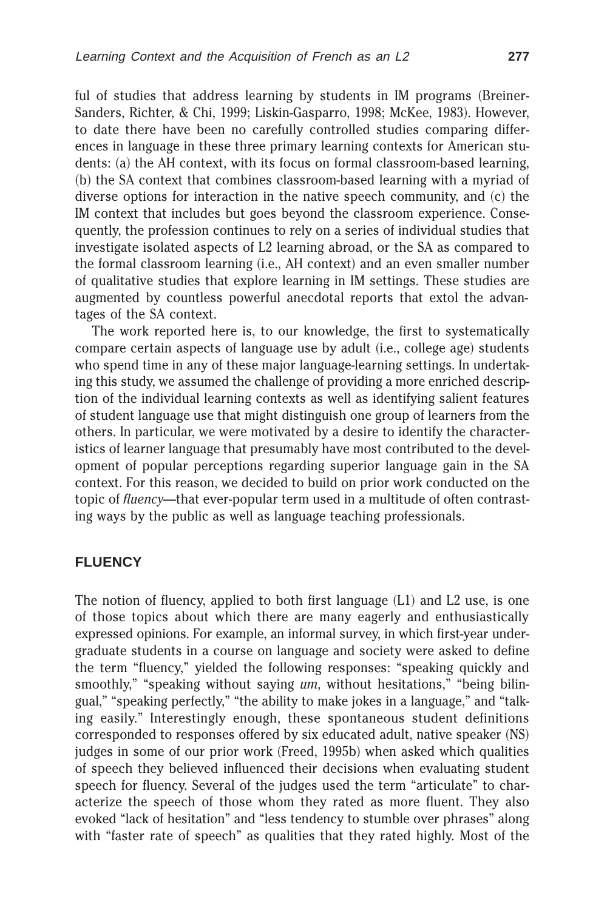ful of studies that address learning by students in IM programs (Breiner-Sanders, Richter, & Chi, 1999; Liskin-Gasparro, 1998; McKee, 1983). However, to date there have been no carefully controlled studies comparing differences in language in these three primary learning contexts for American stu- $\theta$  dents: (a) the AH context, with its focus on formal classroom-based learning, (b) the SA context that combines classroom-based learning with a myriad of diverse options for interaction in the native speech community, and  $(c)$  the IM context that includes but goes beyond the classroom experience. Consequently, the profession continues to rely on a series of individual studies that investigate isolated aspects of L2 learning abroad, or the SA as compared to the formal classroom learning (i.e., AH context) and an even smaller number of qualitative studies that explore learning in IM settings+ These studies are augmented by countless powerful anecdotal reports that extol the advantages of the SA context.

The work reported here is, to our knowledge, the first to systematically compare certain aspects of language use by adult (i.e., college age) students who spend time in any of these major language-learning settings. In undertaking this study, we assumed the challenge of providing a more enriched description of the individual learning contexts as well as identifying salient features of student language use that might distinguish one group of learners from the others. In particular, we were motivated by a desire to identify the characteristics of learner language that presumably have most contributed to the development of popular perceptions regarding superior language gain in the SA context. For this reason, we decided to build on prior work conducted on the topic of *fluency*—that ever-popular term used in a multitude of often contrasting ways by the public as well as language teaching professionals.

# **FLUENCY**

The notion of fluency, applied to both first language  $(L1)$  and  $L2$  use, is one of those topics about which there are many eagerly and enthusiastically expressed opinions. For example, an informal survey, in which first-year undergraduate students in a course on language and society were asked to define the term "fluency," yielded the following responses: "speaking quickly and smoothly," "speaking without saying *um*, without hesitations," "being bilingual," "speaking perfectly," "the ability to make jokes in a language," and "talking easily." Interestingly enough, these spontaneous student definitions corresponded to responses offered by six educated adult, native speaker (NS) judges in some of our prior work (Freed, 1995b) when asked which qualities of speech they believed influenced their decisions when evaluating student speech for fluency. Several of the judges used the term "articulate" to characterize the speech of those whom they rated as more fluent. They also evoked "lack of hesitation" and "less tendency to stumble over phrases" along with "faster rate of speech" as qualities that they rated highly. Most of the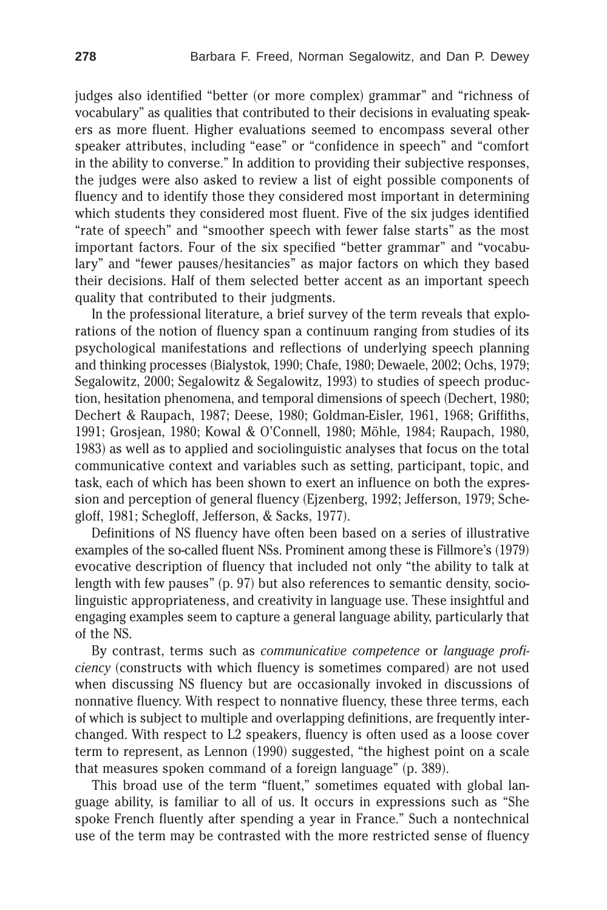judges also identified "better (or more complex) grammar" and "richness of vocabulary" as qualities that contributed to their decisions in evaluating speakers as more fluent. Higher evaluations seemed to encompass several other speaker attributes, including "ease" or "confidence in speech" and "comfort in the ability to converse." In addition to providing their subjective responses, the judges were also asked to review a list of eight possible components of fluency and to identify those they considered most important in determining which students they considered most fluent. Five of the six judges identified "rate of speech" and "smoother speech with fewer false starts" as the most important factors. Four of the six specified "better grammar" and "vocabulary" and "fewer pauses/hesitancies" as major factors on which they based their decisions. Half of them selected better accent as an important speech quality that contributed to their judgments.

In the professional literature, a brief survey of the term reveals that explorations of the notion of fluency span a continuum ranging from studies of its psychological manifestations and reflections of underlying speech planning and thinking processes (Bialystok, 1990; Chafe, 1980; Dewaele, 2002; Ochs, 1979; Segalowitz, 2000; Segalowitz & Segalowitz, 1993) to studies of speech production, hesitation phenomena, and temporal dimensions of speech (Dechert, 1980; Dechert & Raupach, 1987; Deese, 1980; Goldman-Eisler, 1961, 1968; Griffiths, 1991; Grosjean, 1980; Kowal & O'Connell, 1980; Möhle, 1984; Raupach, 1980, 1983) as well as to applied and sociolinguistic analyses that focus on the total communicative context and variables such as setting, participant, topic, and task, each of which has been shown to exert an influence on both the expression and perception of general fluency (Eizenberg, 1992; Jefferson, 1979; Schegloff, 1981; Schegloff, Jefferson, & Sacks, 1977).

Definitions of NS fluency have often been based on a series of illustrative examples of the so-called fluent NSs. Prominent among these is Fillmore's (1979) evocative description of fluency that included not only "the ability to talk at length with few pauses"  $(p. 97)$  but also references to semantic density, sociolinguistic appropriateness, and creativity in language use. These insightful and engaging examples seem to capture a general language ability, particularly that of the NS.

By contrast, terms such as *communicative competence* or *language proficiency* (constructs with which fluency is sometimes compared) are not used when discussing NS fluency but are occasionally invoked in discussions of nonnative fluency. With respect to nonnative fluency, these three terms, each of which is subject to multiple and overlapping definitions, are frequently interchanged. With respect to L2 speakers, fluency is often used as a loose cover term to represent, as Lennon (1990) suggested, "the highest point on a scale that measures spoken command of a foreign language"  $(p. 389)$ .

This broad use of the term "fluent," sometimes equated with global language ability, is familiar to all of us. It occurs in expressions such as "She spoke French fluently after spending a year in France." Such a nontechnical use of the term may be contrasted with the more restricted sense of fluency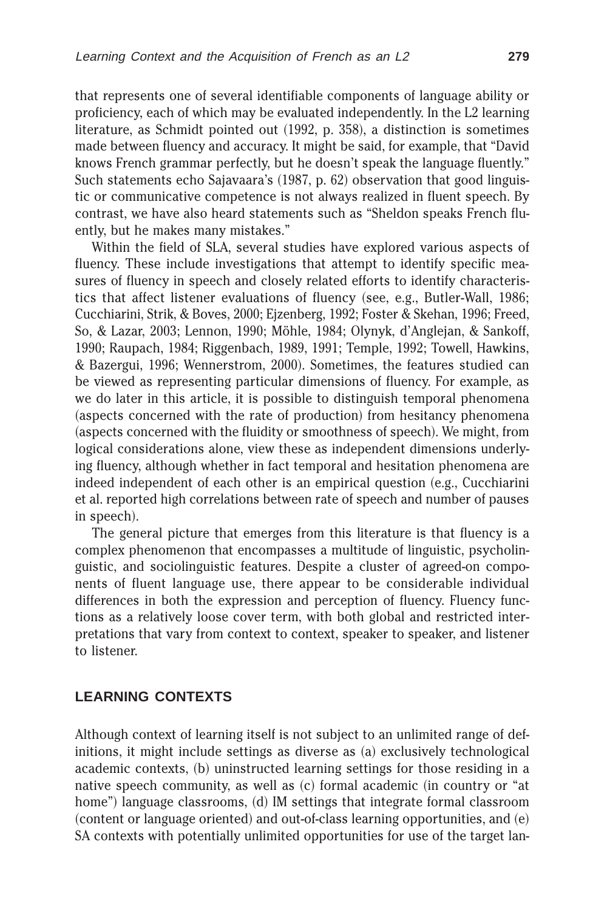that represents one of several identifiable components of language ability or proficiency, each of which may be evaluated independently. In the L2 learning literature, as Schmidt pointed out  $(1992, p. 358)$ , a distinction is sometimes made between fluency and accuracy. It might be said, for example, that "David" knows French grammar perfectly, but he doesn't speak the language fluently." Such statements echo Sajavaara's (1987, p. 62) observation that good linguistic or communicative competence is not always realized in fluent speech. By contrast, we have also heard statements such as "Sheldon speaks French fluently, but he makes many mistakes."

Within the field of SLA, several studies have explored various aspects of fluency. These include investigations that attempt to identify specific measures of fluency in speech and closely related efforts to identify characteristics that affect listener evaluations of fluency (see, e.g., Butler-Wall, 1986; Cucchiarini, Strik, & Boves, 2000; Ejzenberg, 1992; Foster & Skehan, 1996; Freed, So, & Lazar, 2003; Lennon, 1990; Möhle, 1984; Olynyk, d'Anglejan, & Sankoff, 1990; Raupach, 1984; Riggenbach, 1989, 1991; Temple, 1992; Towell, Hawkins, & Bazergui, 1996; Wennerstrom, 2000). Sometimes, the features studied can be viewed as representing particular dimensions of fluency. For example, as we do later in this article, it is possible to distinguish temporal phenomena (aspects concerned with the rate of production) from hesitancy phenomena (aspects concerned with the fluidity or smoothness of speech). We might, from logical considerations alone, view these as independent dimensions underlying fluency, although whether in fact temporal and hesitation phenomena are indeed independent of each other is an empirical question  $(e.g., Cucchiarini)$ et al. reported high correlations between rate of speech and number of pauses in speech).

The general picture that emerges from this literature is that fluency is a complex phenomenon that encompasses a multitude of linguistic, psycholinguistic, and sociolinguistic features+ Despite a cluster of agreed-on components of fluent language use, there appear to be considerable individual differences in both the expression and perception of fluency. Fluency functions as a relatively loose cover term, with both global and restricted interpretations that vary from context to context, speaker to speaker, and listener to listener

# **LEARNING CONTEXTS**

Although context of learning itself is not subject to an unlimited range of definitions, it might include settings as diverse as  $(a)$  exclusively technological academic contexts, (b) uninstructed learning settings for those residing in a native speech community, as well as  $(c)$  formal academic (in country or "at home") language classrooms, (d) IM settings that integrate formal classroom  $($ content or language oriented) and out-of-class learning opportunities, and  $(e)$ SA contexts with potentially unlimited opportunities for use of the target lan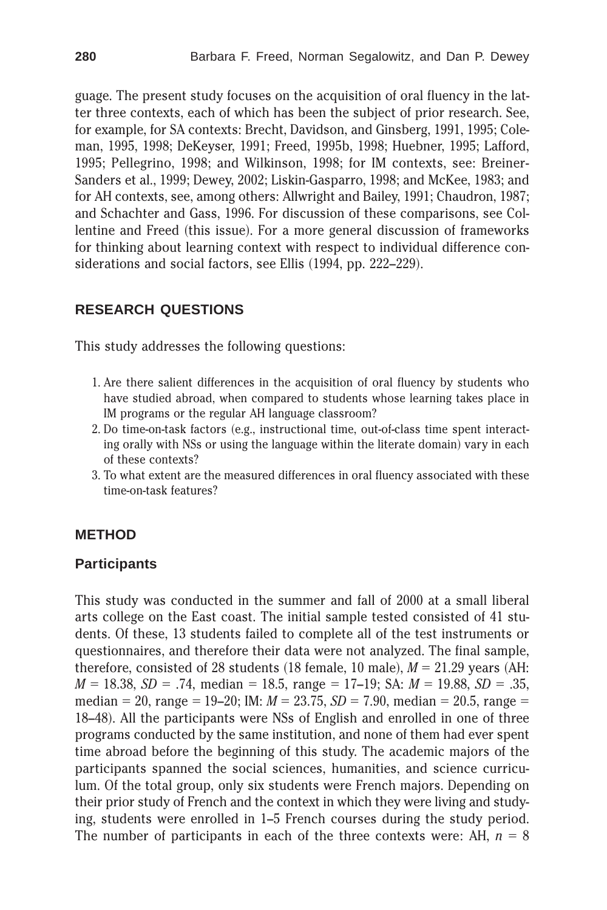guage. The present study focuses on the acquisition of oral fluency in the latter three contexts, each of which has been the subject of prior research. See, for example, for SA contexts: Brecht, Davidson, and Ginsberg, 1991, 1995; Coleman, 1995, 1998; DeKeyser, 1991; Freed, 1995b, 1998; Huebner, 1995; Lafford, 1995; Pellegrino, 1998; and Wilkinson, 1998; for IM contexts, see: Breiner-Sanders et al., 1999; Dewey, 2002; Liskin-Gasparro, 1998; and McKee, 1983; and for AH contexts, see, among others: Allwright and Bailey, 1991; Chaudron, 1987; and Schachter and Gass, 1996. For discussion of these comparisons, see Collentine and Freed (this issue). For a more general discussion of frameworks for thinking about learning context with respect to individual difference considerations and social factors, see Ellis  $(1994, pp. 222-229)$ .

## **RESEARCH QUESTIONS**

This study addresses the following questions:

- 1. Are there salient differences in the acquisition of oral fluency by students who have studied abroad, when compared to students whose learning takes place in IM programs or the regular AH language classroom?
- 2. Do time-on-task factors (e.g., instructional time, out-of-class time spent interacting orally with NSs or using the language within the literate domain) vary in each of these contexts?
- 3. To what extent are the measured differences in oral fluency associated with these time-on-task features?

#### **METHOD**

#### **Participants**

This study was conducted in the summer and fall of 2000 at a small liberal arts college on the East coast. The initial sample tested consisted of 41 students+ Of these, 13 students failed to complete all of the test instruments or questionnaires, and therefore their data were not analyzed+ The final sample, therefore, consisted of 28 students  $(18 \text{ female}, 10 \text{ male}), M = 21.29 \text{ years}$  (AH:  $M = 18.38, SD = .74, median = 18.5, range = 17–19; SA: M = 19.88, SD = .35,$ median = 20, range = 19–20; IM:  $M = 23.75$ ,  $SD = 7.90$ , median = 20.5, range = 18–48). All the participants were NSs of English and enrolled in one of three programs conducted by the same institution, and none of them had ever spent time abroad before the beginning of this study. The academic majors of the participants spanned the social sciences, humanities, and science curriculum. Of the total group, only six students were French majors. Depending on their prior study of French and the context in which they were living and studying, students were enrolled in 1–5 French courses during the study period+ The number of participants in each of the three contexts were: AH,  $n = 8$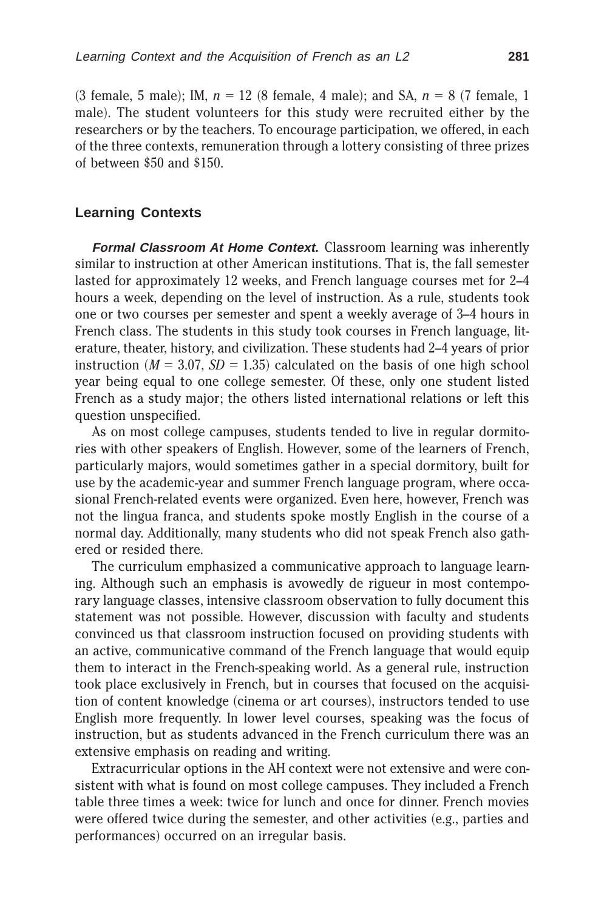$(3$  female, 5 male); IM,  $n = 12$  (8 female, 4 male); and SA,  $n = 8$  (7 female, 1) male). The student volunteers for this study were recruited either by the researchers or by the teachers. To encourage participation, we offered, in each of the three contexts, remuneration through a lottery consisting of three prizes of between  $$50$  and  $$150$ .

#### **Learning Contexts**

**Formal Classroom At Home Context.** Classroom learning was inherently similar to instruction at other American institutions. That is, the fall semester lasted for approximately 12 weeks, and French language courses met for 2–4 hours a week, depending on the level of instruction. As a rule, students took one or two courses per semester and spent a weekly average of 3–4 hours in French class. The students in this study took courses in French language, literature, theater, history, and civilization. These students had 2–4 years of prior instruction  $(M = 3.07, SD = 1.35)$  calculated on the basis of one high school year being equal to one college semester+ Of these, only one student listed French as a study major; the others listed international relations or left this question unspecified.

As on most college campuses, students tended to live in regular dormitories with other speakers of English. However, some of the learners of French, particularly majors, would sometimes gather in a special dormitory, built for use by the academic-year and summer French language program, where occasional French-related events were organized. Even here, however, French was not the lingua franca, and students spoke mostly English in the course of a normal day. Additionally, many students who did not speak French also gathered or resided there.

The curriculum emphasized a communicative approach to language learning. Although such an emphasis is avowedly de rigueur in most contemporary language classes, intensive classroom observation to fully document this statement was not possible. However, discussion with faculty and students convinced us that classroom instruction focused on providing students with an active, communicative command of the French language that would equip them to interact in the French-speaking world+ As a general rule, instruction took place exclusively in French, but in courses that focused on the acquisition of content knowledge (cinema or art courses), instructors tended to use English more frequently. In lower level courses, speaking was the focus of instruction, but as students advanced in the French curriculum there was an extensive emphasis on reading and writing.

Extracurricular options in the AH context were not extensive and were consistent with what is found on most college campuses. They included a French table three times a week: twice for lunch and once for dinner. French movies were offered twice during the semester, and other activities  $(e.g.,$  parties and performances) occurred on an irregular basis.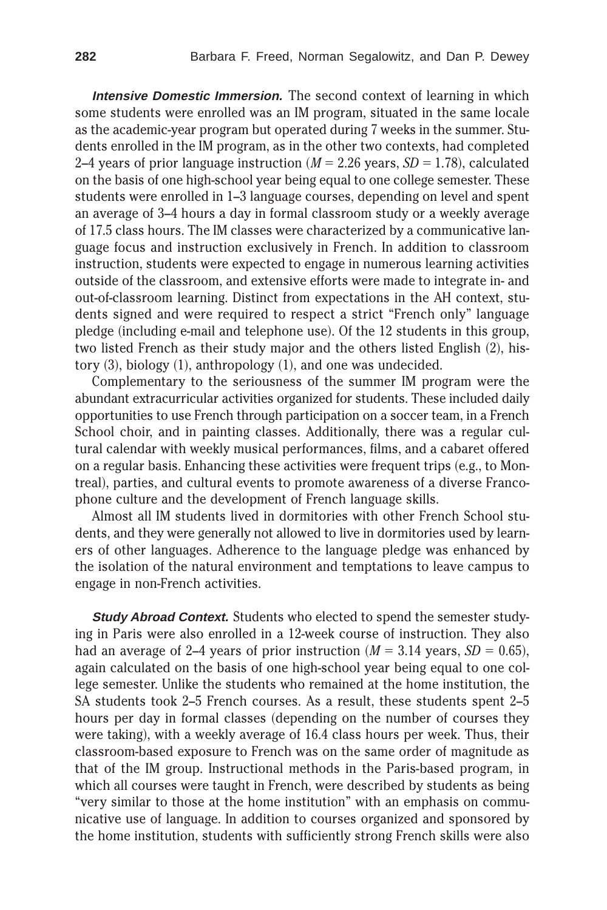**Intensive Domestic Immersion.** The second context of learning in which some students were enrolled was an IM program, situated in the same locale as the academic-year program but operated during 7 weeks in the summer. Students enrolled in the IM program, as in the other two contexts, had completed 2–4 years of prior language instruction  $(M = 2.26$  years,  $SD = 1.78$ ), calculated on the basis of one high-school year being equal to one college semester. These students were enrolled in 1–3 language courses, depending on level and spent an average of 3–4 hours a day in formal classroom study or a weekly average of 17.5 class hours. The IM classes were characterized by a communicative language focus and instruction exclusively in French. In addition to classroom instruction, students were expected to engage in numerous learning activities outside of the classroom, and extensive efforts were made to integrate in- and out-of-classroom learning. Distinct from expectations in the AH context, students signed and were required to respect a strict "French only" language pledge (including e-mail and telephone use). Of the 12 students in this group, two listed French as their study major and the others listed English (2), history  $(3)$ , biology  $(1)$ , anthropology  $(1)$ , and one was undecided.

Complementary to the seriousness of the summer IM program were the abundant extracurricular activities organized for students. These included daily opportunities to use French through participation on a soccer team, in a French School choir, and in painting classes. Additionally, there was a regular cultural calendar with weekly musical performances, films, and a cabaret offered on a regular basis. Enhancing these activities were frequent trips  $(e.g., to Mon$ treal), parties, and cultural events to promote awareness of a diverse Francophone culture and the development of French language skills.

Almost all IM students lived in dormitories with other French School students, and they were generally not allowed to live in dormitories used by learners of other languages. Adherence to the language pledge was enhanced by the isolation of the natural environment and temptations to leave campus to engage in non-French activities.

**Study Abroad Context.** Students who elected to spend the semester studying in Paris were also enrolled in a 12-week course of instruction. They also had an average of 2–4 years of prior instruction  $(M = 3.14$  years,  $SD = 0.65$ ), again calculated on the basis of one high-school year being equal to one college semester. Unlike the students who remained at the home institution, the SA students took 2–5 French courses. As a result, these students spent 2–5 hours per day in formal classes (depending on the number of courses they were taking), with a weekly average of 16.4 class hours per week. Thus, their classroom-based exposure to French was on the same order of magnitude as that of the IM group. Instructional methods in the Paris-based program, in which all courses were taught in French, were described by students as being "very similar to those at the home institution" with an emphasis on communicative use of language. In addition to courses organized and sponsored by the home institution, students with sufficiently strong French skills were also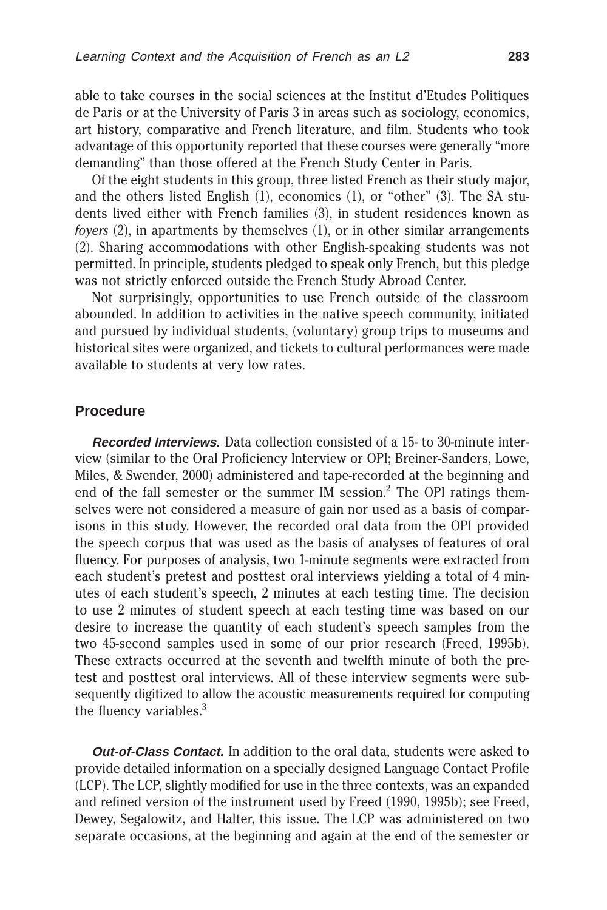able to take courses in the social sciences at the Institut d'Etudes Politiques de Paris or at the University of Paris 3 in areas such as sociology, economics, art history, comparative and French literature, and film. Students who took advantage of this opportunity reported that these courses were generally "more demanding" than those offered at the French Study Center in Paris.

Of the eight students in this group, three listed French as their study major, and the others listed English  $(1)$ , economics  $(1)$ , or "other"  $(3)$ . The SA students lived either with French families  $(3)$ , in student residences known as *foyers* (2), in apartments by themselves (1), or in other similar arrangements  $(2)$ . Sharing accommodations with other English-speaking students was not permitted. In principle, students pledged to speak only French, but this pledge was not strictly enforced outside the French Study Abroad Center.

Not surprisingly, opportunities to use French outside of the classroom abounded. In addition to activities in the native speech community, initiated and pursued by individual students, (voluntary) group trips to museums and historical sites were organized, and tickets to cultural performances were made available to students at very low rates.

#### **Procedure**

**Recorded Interviews.** Data collection consisted of a 15- to 30-minute interview (similar to the Oral Proficiency Interview or OPI; Breiner-Sanders, Lowe, Miles, & Swender, 2000) administered and tape-recorded at the beginning and end of the fall semester or the summer IM session.<sup>2</sup> The OPI ratings themselves were not considered a measure of gain nor used as a basis of comparisons in this study. However, the recorded oral data from the OPI provided the speech corpus that was used as the basis of analyses of features of oral fluency. For purposes of analysis, two 1-minute segments were extracted from each student's pretest and posttest oral interviews yielding a total of 4 minutes of each student's speech, 2 minutes at each testing time+ The decision to use 2 minutes of student speech at each testing time was based on our desire to increase the quantity of each student's speech samples from the two 45-second samples used in some of our prior research (Freed, 1995b). These extracts occurred at the seventh and twelfth minute of both the pretest and posttest oral interviews. All of these interview segments were subsequently digitized to allow the acoustic measurements required for computing the fluency variables. $3$ 

**Out-of-Class Contact.** In addition to the oral data, students were asked to provide detailed information on a specially designed Language Contact Profile (LCP). The LCP, slightly modified for use in the three contexts, was an expanded and refined version of the instrument used by Freed  $(1990, 1995b)$ ; see Freed, Dewey, Segalowitz, and Halter, this issue. The LCP was administered on two separate occasions, at the beginning and again at the end of the semester or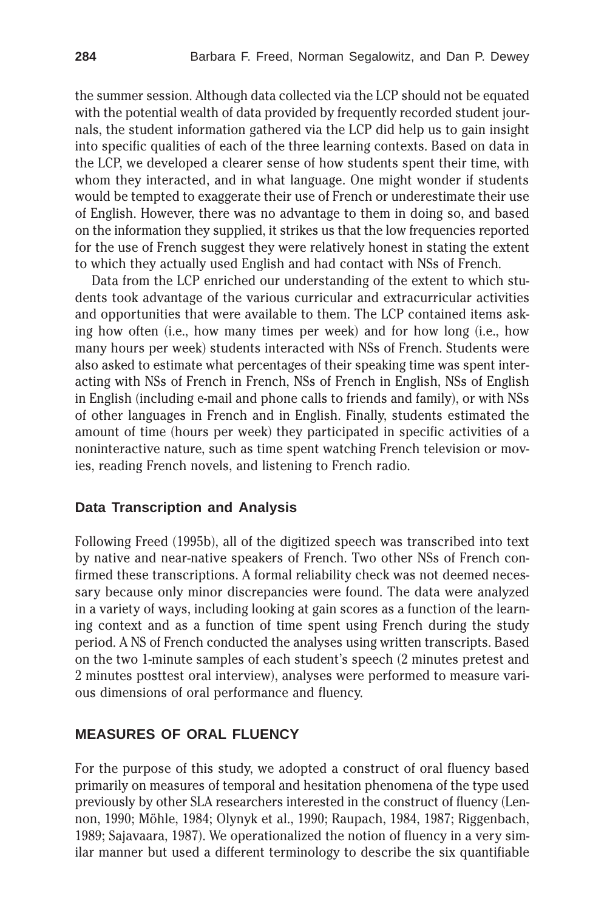the summer session. Although data collected via the LCP should not be equated with the potential wealth of data provided by frequently recorded student journals, the student information gathered via the LCP did help us to gain insight into specific qualities of each of the three learning contexts. Based on data in the LCP, we developed a clearer sense of how students spent their time, with whom they interacted, and in what language. One might wonder if students would be tempted to exaggerate their use of French or underestimate their use of English, However, there was no advantage to them in doing so, and based on the information they supplied, it strikes us that the low frequencies reported for the use of French suggest they were relatively honest in stating the extent to which they actually used English and had contact with NSs of French.

Data from the LCP enriched our understanding of the extent to which students took advantage of the various curricular and extracurricular activities and opportunities that were available to them. The LCP contained items asking how often  $(i.e., how many times per week)$  and for how long  $(i.e., how$ many hours per week) students interacted with NSs of French. Students were also asked to estimate what percentages of their speaking time was spent interacting with NSs of French in French, NSs of French in English, NSs of English in English (including e-mail and phone calls to friends and family), or with NSs of other languages in French and in English. Finally, students estimated the amount of time (hours per week) they participated in specific activities of a noninteractive nature, such as time spent watching French television or movies, reading French novels, and listening to French radio.

## **Data Transcription and Analysis**

Following Freed (1995b), all of the digitized speech was transcribed into text by native and near-native speakers of French. Two other NSs of French confirmed these transcriptions. A formal reliability check was not deemed necessary because only minor discrepancies were found. The data were analyzed in a variety of ways, including looking at gain scores as a function of the learning context and as a function of time spent using French during the study period. A NS of French conducted the analyses using written transcripts. Based on the two 1-minute samples of each student's speech  $(2 \text{ minutes} \text{ pretest} \text{ and} \text{contest})$ 2 minutes posttest oral interview), analyses were performed to measure various dimensions of oral performance and fluency.

# **MEASURES OF ORAL FLUENCY**

For the purpose of this study, we adopted a construct of oral fluency based primarily on measures of temporal and hesitation phenomena of the type used previously by other SLA researchers interested in the construct of fluency (Lennon, 1990; Möhle, 1984; Olynyk et al., 1990; Raupach, 1984, 1987; Riggenbach, 1989; Sajavaara, 1987). We operationalized the notion of fluency in a very similar manner but used a different terminology to describe the six quantifiable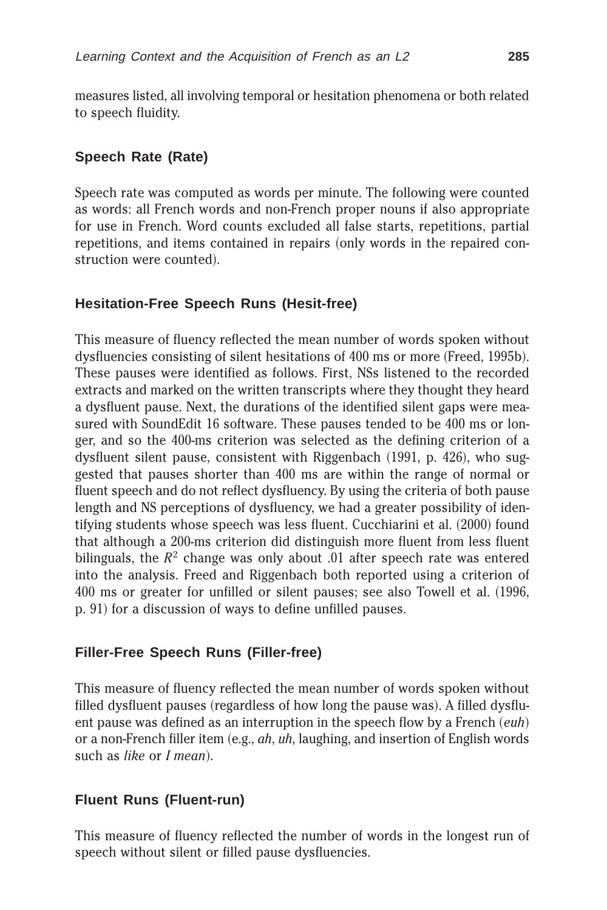measures listed, all involving temporal or hesitation phenomena or both related to speech fluidity.

# **Speech Rate (Rate)**

Speech rate was computed as words per minute. The following were counted as words: all French words and non-French proper nouns if also appropriate for use in French. Word counts excluded all false starts, repetitions, partial repetitions, and items contained in repairs (only words in the repaired construction were counted).

# **Hesitation-Free Speech Runs (Hesit-free)**

This measure of fluency reflected the mean number of words spoken without dysfluencies consisting of silent hesitations of  $400 \text{ ms}$  or more (Freed, 1995b). These pauses were identified as follows. First, NSs listened to the recorded extracts and marked on the written transcripts where they thought they heard a dysfluent pause. Next, the durations of the identified silent gaps were measured with SoundEdit 16 software. These pauses tended to be 400 ms or longer, and so the 400-ms criterion was selected as the defining criterion of a dysfluent silent pause, consistent with Riggenbach  $(1991, p. 426)$ , who suggested that pauses shorter than 400 ms are within the range of normal or fluent speech and do not reflect dysfluency. By using the criteria of both pause length and NS perceptions of dysfluency, we had a greater possibility of identifying students whose speech was less fluent. Cucchiarini et al. (2000) found that although a 200-ms criterion did distinguish more fluent from less fluent bilinguals, the  $R^2$  change was only about 0.01 after speech rate was entered into the analysis. Freed and Riggenbach both reported using a criterion of 400 ms or greater for unfilled or silent pauses; see also Towell et al. (1996, p. 91) for a discussion of ways to define unfilled pauses.

# **Filler-Free Speech Runs (Filler-free)**

This measure of fluency reflected the mean number of words spoken without filled dysfluent pauses (regardless of how long the pause was). A filled dysfluent pause was defined as an interruption in the speech flow by a French (euh) or a non-French filler item  $(e.g., ah, uh, laughing, and insertion of English words)$ such as *like* or *I mean*).

# **Fluent Runs (Fluent-run)**

This measure of fluency reflected the number of words in the longest run of speech without silent or filled pause dysfluencies.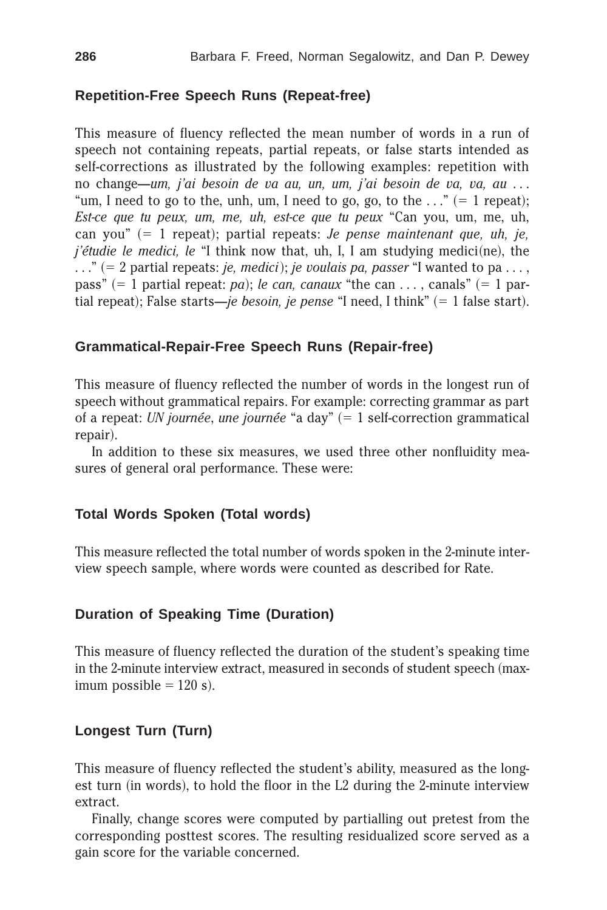# **Repetition-Free Speech Runs (Repeat-free)**

This measure of fluency reflected the mean number of words in a run of speech not containing repeats, partial repeats, or false starts intended as self-corrections as illustrated by the following examples: repetition with no change—*um, j'ai besoin de va au, un, um, j'ai besoin de va, va, au* +++ "um, I need to go to the, unh, um, I need to go, go, to the  $\dots$ " (= 1 repeat); *Est-ce que tu peux, um, me, uh, est-ce que tu peux* "Can you, um, me, uh, can you"  $(= 1 \text{ repeat})$ ; partial repeats: *Je pense maintenant que, uh, je, j'étudie le medici, le* "I think now that, uh, I, I am studying medici(ne), the  $\ldots$  " (= 2 partial repeats: *je, medici*); *je voulais pa, passer* "I wanted to pa  $\ldots$ , pass"  $(= 1$  partial repeat: *pa*); *le can, canaux* "the can ..., canals"  $(= 1$  partial repeat); False starts—*je besoin, je pense* "I need, I think"  $(= 1 \text{ false start}).$ 

#### **Grammatical-Repair-Free Speech Runs (Repair-free)**

This measure of fluency reflected the number of words in the longest run of speech without grammatical repairs. For example: correcting grammar as part of a repeat: *UN journée*, *une journée* "a day" (= 1 self-correction grammatical repair).

In addition to these six measures, we used three other nonfluidity measures of general oral performance. These were:

### **Total Words Spoken (Total words)**

This measure reflected the total number of words spoken in the 2-minute interview speech sample, where words were counted as described for Rate+

#### **Duration of Speaking Time (Duration)**

This measure of fluency reflected the duration of the student's speaking time in the 2-minute interview extract, measured in seconds of student speech (maximum possible  $= 120$  s).

## **Longest Turn (Turn)**

This measure of fluency reflected the student's ability, measured as the longest turn (in words), to hold the floor in the L2 during the 2-minute interview extract.

Finally, change scores were computed by partialling out pretest from the corresponding posttest scores. The resulting residualized score served as a gain score for the variable concerned.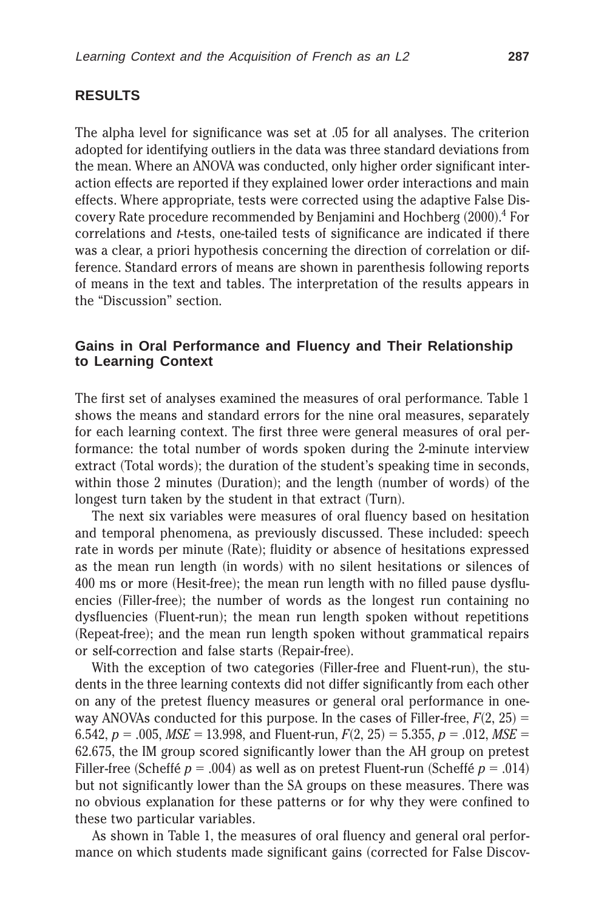# **RESULTS**

The alpha level for significance was set at  $.05$  for all analyses. The criterion adopted for identifying outliers in the data was three standard deviations from the mean. Where an ANOVA was conducted, only higher order significant interaction effects are reported if they explained lower order interactions and main effects. Where appropriate, tests were corrected using the adaptive False Discovery Rate procedure recommended by Benjamini and Hochberg  $(2000).^4$  For correlations and *t*-tests, one-tailed tests of significance are indicated if there was a clear, a priori hypothesis concerning the direction of correlation or difference. Standard errors of means are shown in parenthesis following reports of means in the text and tables+ The interpretation of the results appears in the "Discussion" section.

# **Gains in Oral Performance and Fluency and Their Relationship to Learning Context**

The first set of analyses examined the measures of oral performance. Table 1 shows the means and standard errors for the nine oral measures, separately for each learning context. The first three were general measures of oral performance: the total number of words spoken during the 2-minute interview extract (Total words); the duration of the student's speaking time in seconds, within those  $2$  minutes (Duration); and the length (number of words) of the longest turn taken by the student in that extract  $(Turn)$ .

The next six variables were measures of oral fluency based on hesitation and temporal phenomena, as previously discussed. These included: speech rate in words per minute (Rate); fluidity or absence of hesitations expressed as the mean run length (in words) with no silent hesitations or silences of 400 ms or more (Hesit-free); the mean run length with no filled pause dysfluencies (Filler-free); the number of words as the longest run containing no dysfluencies (Fluent-run); the mean run length spoken without repetitions (Repeat-free); and the mean run length spoken without grammatical repairs or self-correction and false starts (Repair-free).

With the exception of two categories (Filler-free and Fluent-run), the students in the three learning contexts did not differ significantly from each other on any of the pretest fluency measures or general oral performance in oneway ANOVAs conducted for this purpose. In the cases of Filler-free,  $F(2, 25)$  = 6.542,  $p = .005$ ,  $MSE = 13.998$ , and Fluent-run,  $F(2, 25) = 5.355$ ,  $p = .012$ ,  $MSE =$ 62.675, the IM group scored significantly lower than the AH group on pretest Filler-free (Scheffé  $p = .004$ ) as well as on pretest Fluent-run (Scheffé  $p = .014$ ) but not significantly lower than the SA groups on these measures. There was no obvious explanation for these patterns or for why they were confined to these two particular variables+

As shown in Table 1, the measures of oral fluency and general oral performance on which students made significant gains (corrected for False Discov-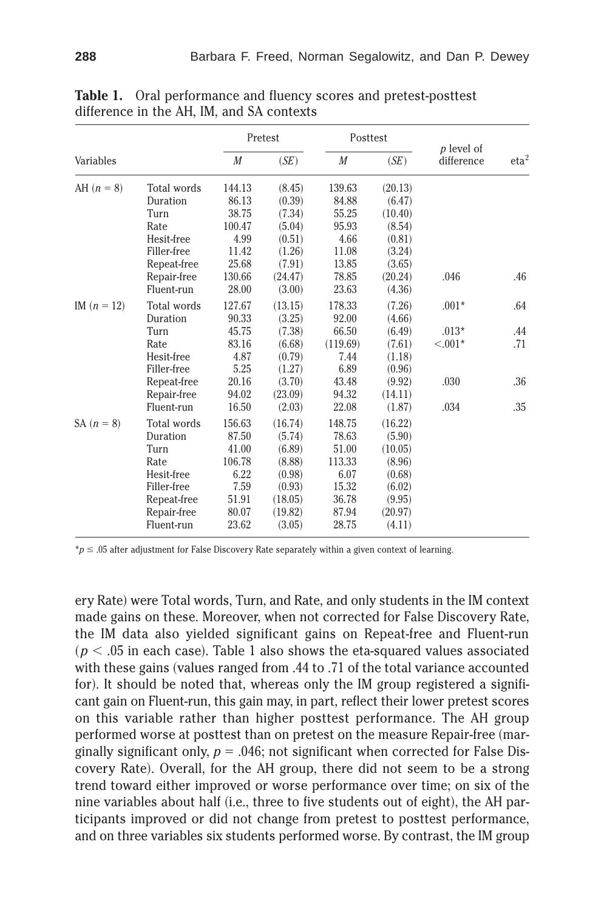|               |             | Pretest |         | Posttest |         |                          |                  |
|---------------|-------------|---------|---------|----------|---------|--------------------------|------------------|
| Variables     |             | M       | (SE)    | M        | (SE)    | p level of<br>difference | eta <sup>2</sup> |
| AH $(n=8)$    | Total words | 144.13  | (8.45)  | 139.63   | (20.13) |                          |                  |
|               | Duration    | 86.13   | (0.39)  | 84.88    | (6.47)  |                          |                  |
|               | Turn        | 38.75   | (7.34)  | 55.25    | (10.40) |                          |                  |
|               | Rate        | 100.47  | (5.04)  | 95.93    | (8.54)  |                          |                  |
|               | Hesit-free  | 4.99    | (0.51)  | 4.66     | (0.81)  |                          |                  |
|               | Filler-free | 11.42   | (1.26)  | 11.08    | (3.24)  |                          |                  |
|               | Repeat-free | 25.68   | (7.91)  | 13.85    | (3.65)  |                          |                  |
|               | Repair-free | 130.66  | (24.47) | 78.85    | (20.24) | .046                     | .46              |
|               | Fluent-run  | 28.00   | (3.00)  | 23.63    | (4.36)  |                          |                  |
| IM $(n = 12)$ | Total words | 127.67  | (13.15) | 178.33   | (7.26)  | $.001*$                  | .64              |
|               | Duration    | 90.33   | (3.25)  | 92.00    | (4.66)  |                          |                  |
|               | Turn        | 45.75   | (7.38)  | 66.50    | (6.49)  | $.013*$                  | .44              |
|               | Rate        | 83.16   | (6.68)  | (119.69) | (7.61)  | $< 0.01*$                | .71              |
|               | Hesit-free  | 4.87    | (0.79)  | 7.44     | (1.18)  |                          |                  |
|               | Filler-free | 5.25    | (1.27)  | 6.89     | (0.96)  |                          |                  |
|               | Repeat-free | 20.16   | (3.70)  | 43.48    | (9.92)  | .030                     | .36              |
|               | Repair-free | 94.02   | (23.09) | 94.32    | (14.11) |                          |                  |
|               | Fluent-run  | 16.50   | (2.03)  | 22.08    | (1.87)  | .034                     | .35              |
| SA $(n = 8)$  | Total words | 156.63  | (16.74) | 148.75   | (16.22) |                          |                  |
|               | Duration    | 87.50   | (5.74)  | 78.63    | (5.90)  |                          |                  |
|               | Turn        | 41.00   | (6.89)  | 51.00    | (10.05) |                          |                  |
|               | Rate        | 106.78  | (8.88)  | 113.33   | (8.96)  |                          |                  |
|               | Hesit-free  | 6.22    | (0.98)  | 6.07     | (0.68)  |                          |                  |
|               | Filler-free | 7.59    | (0.93)  | 15.32    | (6.02)  |                          |                  |
|               | Repeat-free | 51.91   | (18.05) | 36.78    | (9.95)  |                          |                  |
|               | Repair-free | 80.07   | (19.82) | 87.94    | (20.97) |                          |                  |
|               | Fluent-run  | 23.62   | (3.05)  | 28.75    | (4.11)  |                          |                  |

**Table 1.** Oral performance and fluency scores and pretest-posttest difference in the AH, IM, and SA contexts

 $*p \leq .05$  after adjustment for False Discovery Rate separately within a given context of learning.

ery Rate) were Total words, Turn, and Rate, and only students in the IM context made gains on these. Moreover, when not corrected for False Discovery Rate, the IM data also yielded significant gains on Repeat-free and Fluent-run  $(p < .05$  in each case). Table 1 also shows the eta-squared values associated with these gains (values ranged from  $.44$  to  $.71$  of the total variance accounted for). It should be noted that, whereas only the IM group registered a significant gain on Fluent-run, this gain may, in part, reflect their lower pretest scores on this variable rather than higher posttest performance. The AH group performed worse at posttest than on pretest on the measure Repair-free (marginally significant only,  $p = .046$ ; not significant when corrected for False Discovery Rate). Overall, for the AH group, there did not seem to be a strong trend toward either improved or worse performance over time; on six of the nine variables about half  $(i.e., three to five students out of eight), the AH par$ ticipants improved or did not change from pretest to posttest performance, and on three variables six students performed worse. By contrast, the IM group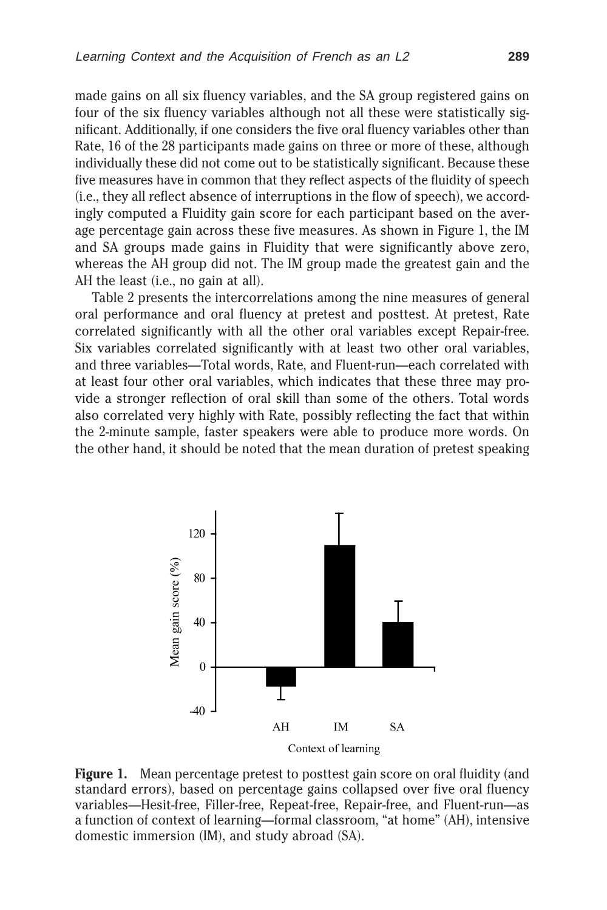made gains on all six fluency variables, and the SA group registered gains on four of the six fluency variables although not all these were statistically significant. Additionally, if one considers the five oral fluency variables other than Rate, 16 of the 28 participants made gains on three or more of these, although individually these did not come out to be statistically significant. Because these five measures have in common that they reflect aspects of the fluidity of speech  $(i.e., they all reflect absence of interventions in the flow of speech), we accord$ ingly computed a Fluidity gain score for each participant based on the average percentage gain across these five measures. As shown in Figure 1, the IM and SA groups made gains in Fluidity that were significantly above zero, whereas the AH group did not. The IM group made the greatest gain and the AH the least  $(i.e., no gain at all).$ 

Table 2 presents the intercorrelations among the nine measures of general oral performance and oral fluency at pretest and posttest. At pretest, Rate correlated significantly with all the other oral variables except Repair-free. Six variables correlated significantly with at least two other oral variables, and three variables—Total words, Rate, and Fluent-run—each correlated with at least four other oral variables, which indicates that these three may provide a stronger reflection of oral skill than some of the others+ Total words also correlated very highly with Rate, possibly reflecting the fact that within the 2-minute sample, faster speakers were able to produce more words+ On the other hand, it should be noted that the mean duration of pretest speaking



**Figure 1.** Mean percentage pretest to posttest gain score on oral fluidity (and standard errors), based on percentage gains collapsed over five oral fluency variables—Hesit-free, Filler-free, Repeat-free, Repair-free, and Fluent-run—as a function of context of learning—formal classroom, "at home" (AH), intensive domestic immersion  $(IM)$ , and study abroad  $(SA)$ .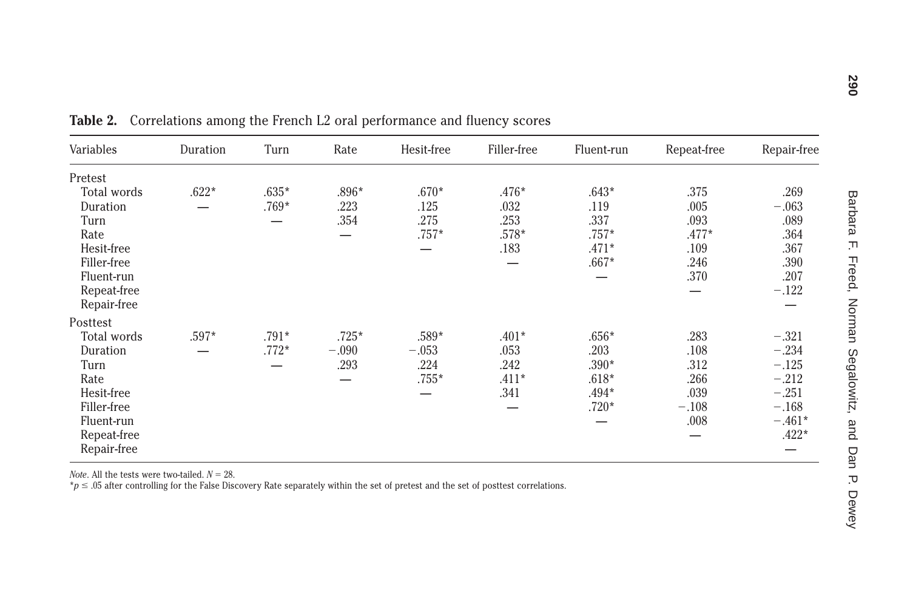| Variables   | Duration | Turn    | Rate    | Hesit-free | Filler-free | Fluent-run | Repeat-free | Repair-free |
|-------------|----------|---------|---------|------------|-------------|------------|-------------|-------------|
| Pretest     |          |         |         |            |             |            |             |             |
| Total words | $.622*$  | $.635*$ | $.896*$ | $.670*$    | $.476*$     | $.643*$    | .375        | .269        |
| Duration    | –        | $.769*$ | .223    | .125       | .032        | .119       | .005        | $-.063$     |
| Turn        |          |         | .354    | .275       | .253        | .337       | .093        | .089        |
| Rate        |          |         |         | $.757*$    | $.578*$     | $.757*$    | $.477*$     | .364        |
| Hesit-free  |          |         |         |            | .183        | $.471*$    | .109        | .367        |
| Filler-free |          |         |         |            |             | $.667*$    | .246        | .390        |
| Fluent-run  |          |         |         |            |             |            | .370        | .207        |
| Repeat-free |          |         |         |            |             |            |             | $-.122$     |
| Repair-free |          |         |         |            |             |            |             |             |
| Posttest    |          |         |         |            |             |            |             |             |
| Total words | $.597*$  | $.791*$ | $.725*$ | $.589*$    | $.401*$     | $.656*$    | .283        | $-.321$     |
| Duration    |          | $.772*$ | $-.090$ | $-.053$    | .053        | .203       | .108        | $-.234$     |
| Turn        |          |         | .293    | .224       | .242        | $.390*$    | .312        | $-.125$     |
| Rate        |          |         |         | $.755*$    | $.411*$     | $.618*$    | .266        | $-.212$     |
| Hesit-free  |          |         |         |            | .341        | $.494*$    | .039        | $-.251$     |
| Filler-free |          |         |         |            | -           | $.720*$    | $-.108$     | $-.168$     |
| Fluent-run  |          |         |         |            |             |            | .008        | $-.461*$    |
| Repeat-free |          |         |         |            |             |            |             | $.422*$     |
| Repair-free |          |         |         |            |             |            |             |             |

**Table 2.** Correlations among the French L2 oral performance and fluency scores

*Note*. All the tests were two-tailed.  $N = 28.$ 

 $**p* \le 0.5$  after controlling for the False Discovery Rate separately within the set of pretest and the set of posttest correlations.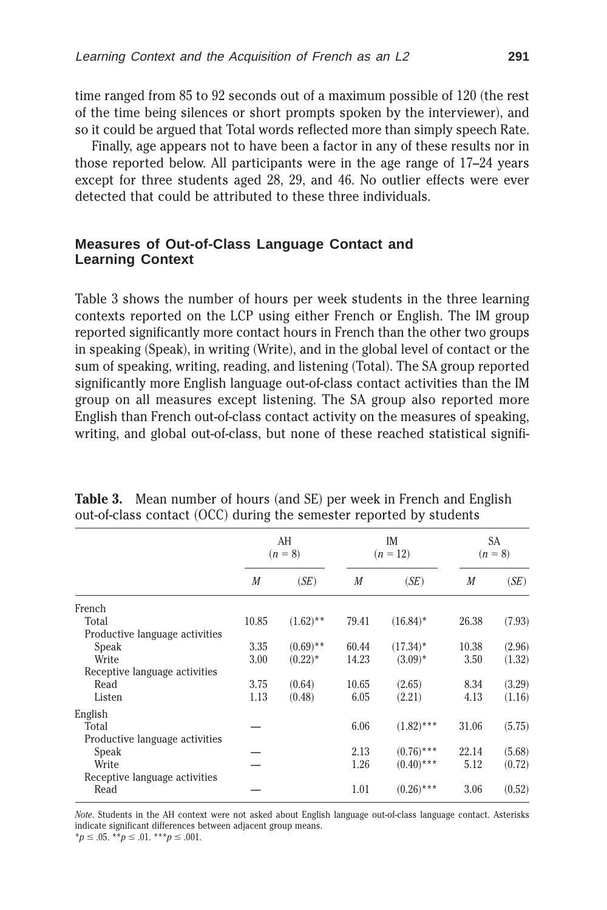time ranged from  $85$  to  $92$  seconds out of a maximum possible of 120 (the rest of the time being silences or short prompts spoken by the interviewer), and so it could be argued that Total words reflected more than simply speech Rate.

Finally, age appears not to have been a factor in any of these results nor in those reported below. All participants were in the age range of 17–24 years except for three students aged 28, 29, and 46. No outlier effects were ever detected that could be attributed to these three individuals.

# **Measures of Out-of-Class Language Contact and Learning Context**

Table 3 shows the number of hours per week students in the three learning contexts reported on the LCP using either French or English. The IM group reported significantly more contact hours in French than the other two groups in speaking  $(Speak)$ , in writing  $(Write)$ , and in the global level of contact or the sum of speaking, writing, reading, and listening (Total). The SA group reported significantly more English language out-of-class contact activities than the IM group on all measures except listening. The SA group also reported more English than French out-of-class contact activity on the measures of speaking, writing, and global out-of-class, but none of these reached statistical signifi-

|                                | AH<br>$(n = 8)$ |             | IM<br>$(n = 12)$ |              | SA<br>$(n = 8)$ |        |
|--------------------------------|-----------------|-------------|------------------|--------------|-----------------|--------|
|                                | М               | (SE)        | М                | (SE)         | M               | (SE)   |
| French                         |                 |             |                  |              |                 |        |
| Total                          | 10.85           | $(1.62)$ ** | 79.41            | $(16.84)^*$  | 26.38           | (7.93) |
| Productive language activities |                 |             |                  |              |                 |        |
| Speak                          | 3.35            | $(0.69)$ ** | 60.44            | $(17.34)^*$  | 10.38           | (2.96) |
| Write                          | 3.00            | $(0.22)^*$  | 14.23            | $(3.09)^*$   | 3.50            | (1.32) |
| Receptive language activities  |                 |             |                  |              |                 |        |
| Read                           | 3.75            | (0.64)      | 10.65            | (2.65)       | 8.34            | (3.29) |
| Listen                         | 1.13            | (0.48)      | 6.05             | (2.21)       | 4.13            | (1.16) |
| English                        |                 |             |                  |              |                 |        |
| Total                          |                 |             | 6.06             | $(1.82)$ *** | 31.06           | (5.75) |
| Productive language activities |                 |             |                  |              |                 |        |
| Speak                          |                 |             | 2.13             | $(0.76)$ *** | 22.14           | (5.68) |
| Write                          |                 |             | 1.26             | $(0.40)$ *** | 5.12            | (0.72) |
| Receptive language activities  |                 |             |                  |              |                 |        |
| Read                           |                 |             | 1.01             | $(0.26)$ *** | 3.06            | (0.52) |

**Table 3.** Mean number of hours (and SE) per week in French and English  $out-of-class contact (OCC)$  during the semester reported by students

*Note*. Students in the AH context were not asked about English language out-of-class language contact. Asterisks indicate significant differences between adjacent group means.

 $*_{p} \leq .05$ . \*\**p*  $\leq .01$ . \*\*\**p*  $\leq .001$ .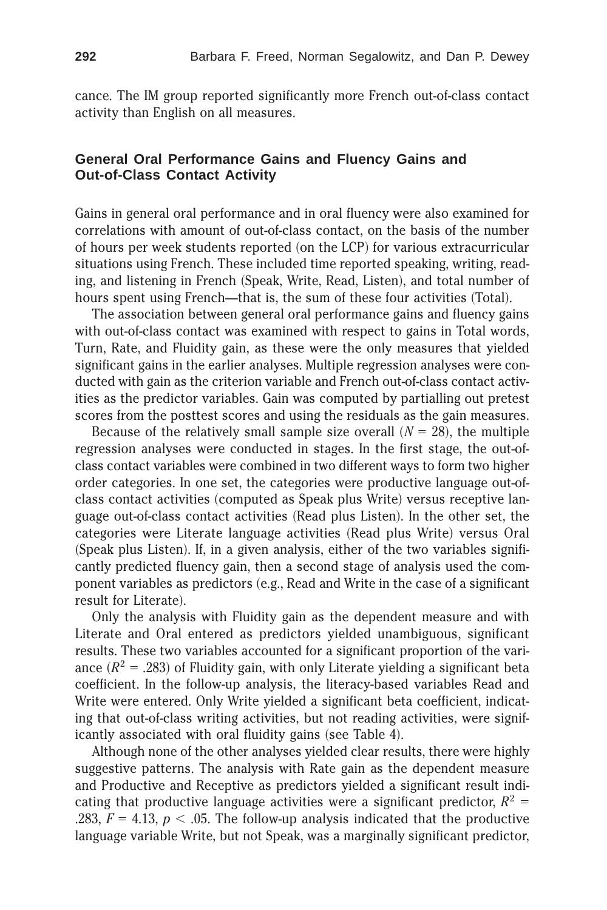cance. The IM group reported significantly more French out-of-class contact activity than English on all measures.

# **General Oral Performance Gains and Fluency Gains and Out-of-Class Contact Activity**

Gains in general oral performance and in oral fluency were also examined for correlations with amount of out-of-class contact, on the basis of the number of hours per week students reported (on the LCP) for various extracurricular situations using French. These included time reported speaking, writing, reading, and listening in French (Speak, Write, Read, Listen), and total number of hours spent using French—that is, the sum of these four activities (Total).

The association between general oral performance gains and fluency gains with out-of-class contact was examined with respect to gains in Total words, Turn, Rate, and Fluidity gain, as these were the only measures that yielded significant gains in the earlier analyses. Multiple regression analyses were conducted with gain as the criterion variable and French out-of-class contact activities as the predictor variables. Gain was computed by partialling out pretest scores from the posttest scores and using the residuals as the gain measures.

Because of the relatively small sample size overall  $(N = 28)$ , the multiple regression analyses were conducted in stages. In the first stage, the out-ofclass contact variables were combined in two different ways to form two higher order categories. In one set, the categories were productive language out-ofclass contact activities (computed as Speak plus Write) versus receptive language out-of-class contact activities (Read plus Listen). In the other set, the categories were Literate language activities (Read plus Write) versus Oral  $(Speak plus Listen)$ . If, in a given analysis, either of the two variables significantly predicted fluency gain, then a second stage of analysis used the component variables as predictors (e.g., Read and Write in the case of a significant result for Literate).

Only the analysis with Fluidity gain as the dependent measure and with Literate and Oral entered as predictors yielded unambiguous, significant results. These two variables accounted for a significant proportion of the variance  $(R^2 = .283)$  of Fluidity gain, with only Literate yielding a significant beta coefficient. In the follow-up analysis, the literacy-based variables Read and Write were entered. Only Write yielded a significant beta coefficient, indicating that out-of-class writing activities, but not reading activities, were significantly associated with oral fluidity gains (see Table 4).

Although none of the other analyses yielded clear results, there were highly suggestive patterns. The analysis with Rate gain as the dependent measure and Productive and Receptive as predictors yielded a significant result indicating that productive language activities were a significant predictor,  $R^2 =$ .283,  $F = 4.13$ ,  $p < .05$ . The follow-up analysis indicated that the productive language variable Write, but not Speak, was a marginally significant predictor,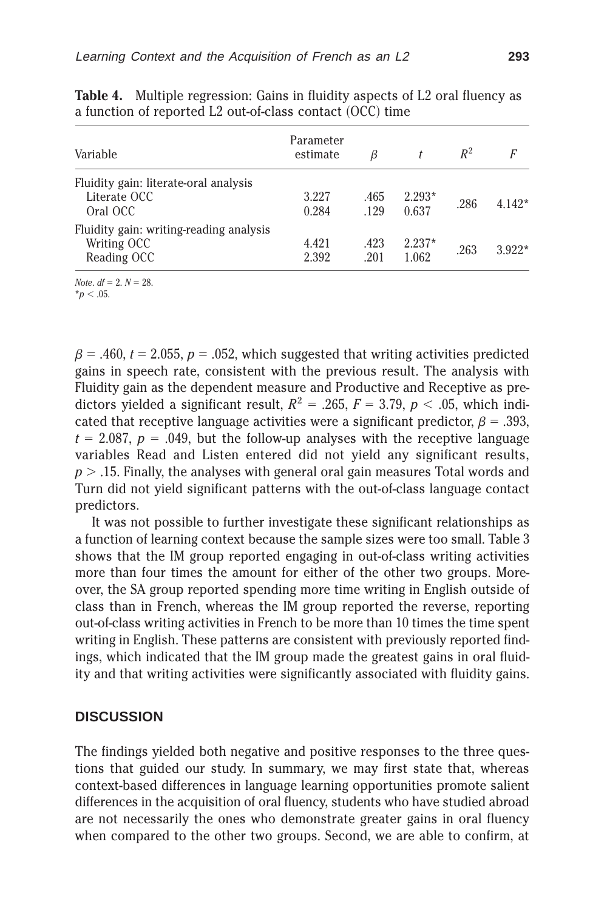| Variable                                                              | Parameter<br>estimate | B            |                   | $R^2$ | F        |
|-----------------------------------------------------------------------|-----------------------|--------------|-------------------|-------|----------|
| Fluidity gain: literate-oral analysis<br>Literate OCC<br>Oral OCC     | 3.227<br>0.284        | .465<br>.129 | $2.293*$<br>0.637 | .286  | $4.142*$ |
| Fluidity gain: writing-reading analysis<br>Writing OCC<br>Reading OCC | 4.421<br>2.392        | .423<br>.201 | $2.237*$<br>1.062 | .263  | $3.922*$ |

**Table 4.** Multiple regression: Gains in fluidity aspects of L2 oral fluency as a function of reported  $L2$  out-of-class contact  $(OCC)$  time

*Note*,  $df = 2$ ,  $N = 28$ .

 $*p < 0.05$ 

 $\beta$  = .460, *t* = 2.055, *p* = .052, which suggested that writing activities predicted gains in speech rate, consistent with the previous result. The analysis with Fluidity gain as the dependent measure and Productive and Receptive as predictors yielded a significant result,  $R^2 = .265$ ,  $F = 3.79$ ,  $p < .05$ , which indicated that receptive language activities were a significant predictor,  $\beta = .393$ ,  $t = 2.087$ ,  $p = .049$ , but the follow-up analyses with the receptive language variables Read and Listen entered did not yield any significant results,  $p > 0.15$ . Finally, the analyses with general oral gain measures Total words and Turn did not yield significant patterns with the out-of-class language contact predictors.

It was not possible to further investigate these significant relationships as a function of learning context because the sample sizes were too small. Table 3 shows that the IM group reported engaging in out-of-class writing activities more than four times the amount for either of the other two groups. Moreover, the SA group reported spending more time writing in English outside of class than in French, whereas the IM group reported the reverse, reporting out-of-class writing activities in French to be more than 10 times the time spent writing in English. These patterns are consistent with previously reported findings, which indicated that the IM group made the greatest gains in oral fluidity and that writing activities were significantly associated with fluidity gains+

#### **DISCUSSION**

The findings yielded both negative and positive responses to the three questions that guided our study. In summary, we may first state that, whereas context-based differences in language learning opportunities promote salient differences in the acquisition of oral fluency, students who have studied abroad are not necessarily the ones who demonstrate greater gains in oral fluency when compared to the other two groups. Second, we are able to confirm, at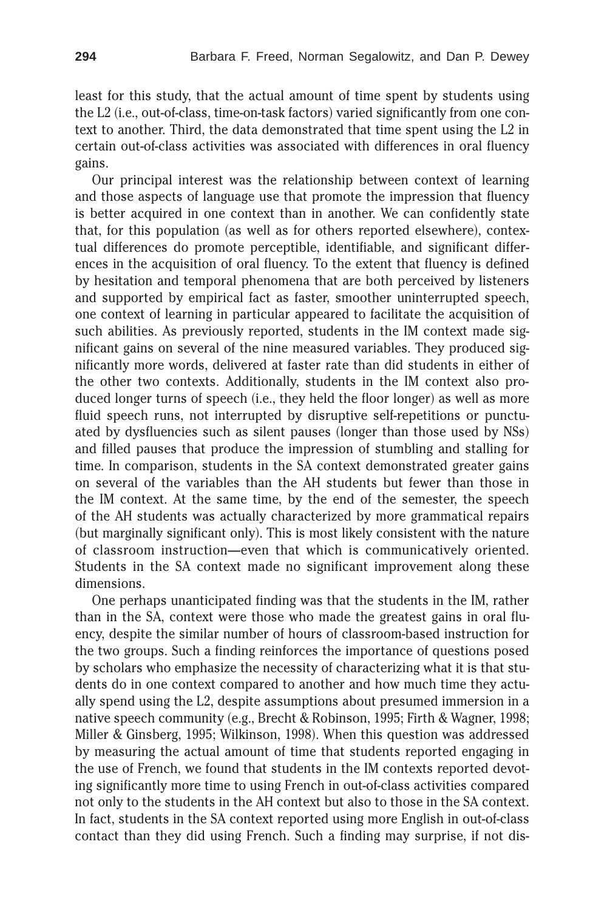least for this study, that the actual amount of time spent by students using the  $L2$  (i.e., out-of-class, time-on-task factors) varied significantly from one context to another. Third, the data demonstrated that time spent using the L2 in certain out-of-class activities was associated with differences in oral fluency gains+

Our principal interest was the relationship between context of learning and those aspects of language use that promote the impression that fluency is better acquired in one context than in another. We can confidently state that, for this population (as well as for others reported elsewhere), contextual differences do promote perceptible, identifiable, and significant differences in the acquisition of oral fluency. To the extent that fluency is defined by hesitation and temporal phenomena that are both perceived by listeners and supported by empirical fact as faster, smoother uninterrupted speech, one context of learning in particular appeared to facilitate the acquisition of such abilities. As previously reported, students in the IM context made significant gains on several of the nine measured variables. They produced significantly more words, delivered at faster rate than did students in either of the other two contexts. Additionally, students in the IM context also produced longer turns of speech (*i.e.*, they held the floor longer) as well as more fluid speech runs, not interrupted by disruptive self-repetitions or punctuated by dysfluencies such as silent pauses (longer than those used by NSs) and filled pauses that produce the impression of stumbling and stalling for time. In comparison, students in the SA context demonstrated greater gains on several of the variables than the AH students but fewer than those in the IM context. At the same time, by the end of the semester, the speech of the AH students was actually characterized by more grammatical repairs (but marginally significant only). This is most likely consistent with the nature of classroom instruction—even that which is communicatively oriented+ Students in the SA context made no significant improvement along these dimensions.

One perhaps unanticipated finding was that the students in the IM, rather than in the SA, context were those who made the greatest gains in oral fluency, despite the similar number of hours of classroom-based instruction for the two groups+ Such a finding reinforces the importance of questions posed by scholars who emphasize the necessity of characterizing what it is that students do in one context compared to another and how much time they actually spend using the L2, despite assumptions about presumed immersion in a native speech community (e.g., Brecht & Robinson, 1995; Firth & Wagner, 1998; Miller & Ginsberg, 1995; Wilkinson, 1998). When this question was addressed by measuring the actual amount of time that students reported engaging in the use of French, we found that students in the IM contexts reported devoting significantly more time to using French in out-of-class activities compared not only to the students in the AH context but also to those in the SA context. In fact, students in the SA context reported using more English in out-of-class contact than they did using French. Such a finding may surprise, if not dis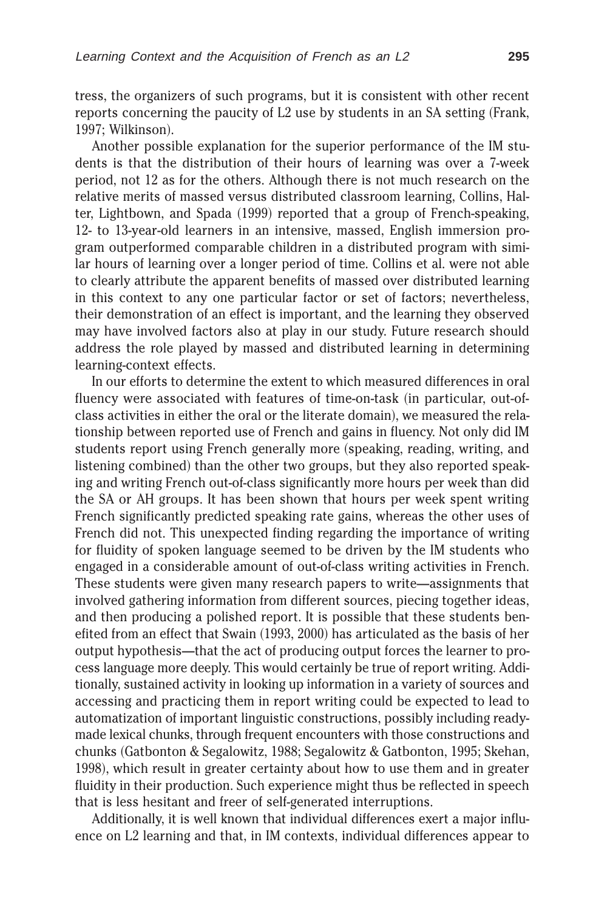tress, the organizers of such programs, but it is consistent with other recent reports concerning the paucity of  $L2$  use by students in an SA setting (Frank, 1997; Wilkinson).

Another possible explanation for the superior performance of the IM students is that the distribution of their hours of learning was over a 7-week period, not 12 as for the others+ Although there is not much research on the relative merits of massed versus distributed classroom learning, Collins, Halter, Lightbown, and Spada (1999) reported that a group of French-speaking, 12- to 13-year-old learners in an intensive, massed, English immersion program outperformed comparable children in a distributed program with similar hours of learning over a longer period of time. Collins et al. were not able to clearly attribute the apparent benefits of massed over distributed learning in this context to any one particular factor or set of factors; nevertheless, their demonstration of an effect is important, and the learning they observed may have involved factors also at play in our study. Future research should address the role played by massed and distributed learning in determining learning-context effects.

In our efforts to determine the extent to which measured differences in oral fluency were associated with features of time-on-task (in particular, out-ofclass activities in either the oral or the literate domain), we measured the relationship between reported use of French and gains in fluency+ Not only did IM students report using French generally more (speaking, reading, writing, and listening combined) than the other two groups, but they also reported speaking and writing French out-of-class significantly more hours per week than did the SA or AH groups. It has been shown that hours per week spent writing French significantly predicted speaking rate gains, whereas the other uses of French did not. This unexpected finding regarding the importance of writing for fluidity of spoken language seemed to be driven by the IM students who engaged in a considerable amount of out-of-class writing activities in French. These students were given many research papers to write—assignments that involved gathering information from different sources, piecing together ideas, and then producing a polished report. It is possible that these students benefited from an effect that Swain  $(1993, 2000)$  has articulated as the basis of her output hypothesis—that the act of producing output forces the learner to process language more deeply. This would certainly be true of report writing. Additionally, sustained activity in looking up information in a variety of sources and accessing and practicing them in report writing could be expected to lead to automatization of important linguistic constructions, possibly including readymade lexical chunks, through frequent encounters with those constructions and chunks (Gatbonton & Segalowitz, 1988; Segalowitz & Gatbonton, 1995; Skehan, 1998), which result in greater certainty about how to use them and in greater fluidity in their production. Such experience might thus be reflected in speech that is less hesitant and freer of self-generated interruptions+

Additionally, it is well known that individual differences exert a major influence on L2 learning and that, in IM contexts, individual differences appear to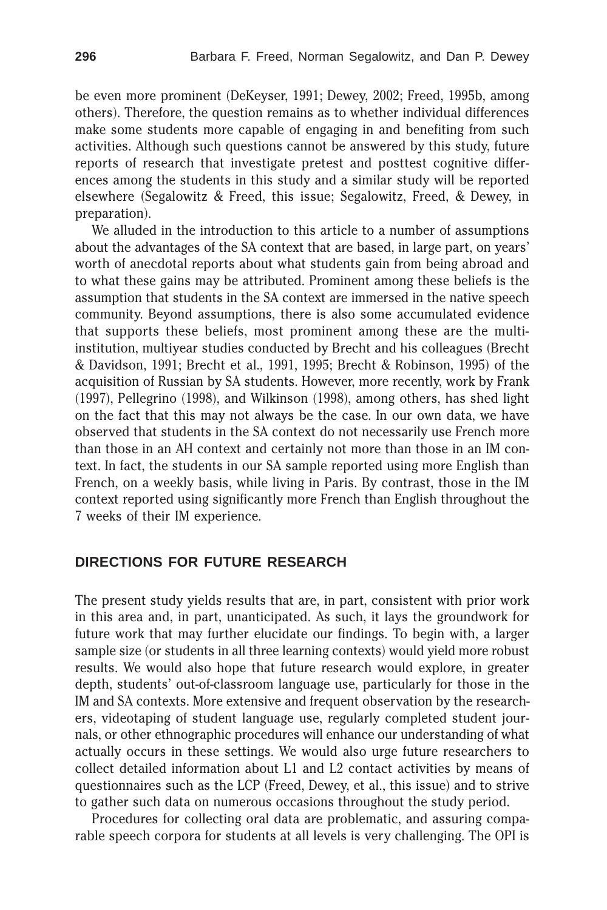be even more prominent (DeKeyser, 1991; Dewey, 2002; Freed, 1995b, among others). Therefore, the question remains as to whether individual differences make some students more capable of engaging in and benefiting from such activities. Although such questions cannot be answered by this study, future reports of research that investigate pretest and posttest cognitive differences among the students in this study and a similar study will be reported elsewhere (Segalowitz & Freed, this issue; Segalowitz, Freed, & Dewey, in preparation).

We alluded in the introduction to this article to a number of assumptions about the advantages of the SA context that are based, in large part, on years' worth of anecdotal reports about what students gain from being abroad and to what these gains may be attributed. Prominent among these beliefs is the assumption that students in the SA context are immersed in the native speech community. Beyond assumptions, there is also some accumulated evidence that supports these beliefs, most prominent among these are the multiinstitution, multiyear studies conducted by Brecht and his colleagues (Brecht & Davidson, 1991; Brecht et al., 1991, 1995; Brecht & Robinson, 1995) of the acquisition of Russian by SA students. However, more recently, work by Frank  $(1997)$ , Pellegrino  $(1998)$ , and Wilkinson  $(1998)$ , among others, has shed light on the fact that this may not always be the case. In our own data, we have observed that students in the SA context do not necessarily use French more than those in an AH context and certainly not more than those in an IM context. In fact, the students in our SA sample reported using more English than French, on a weekly basis, while living in Paris. By contrast, those in the IM context reported using significantly more French than English throughout the 7 weeks of their IM experience.

## **DIRECTIONS FOR FUTURE RESEARCH**

The present study yields results that are, in part, consistent with prior work in this area and, in part, unanticipated. As such, it lays the groundwork for future work that may further elucidate our findings. To begin with, a larger sample size (or students in all three learning contexts) would yield more robust results. We would also hope that future research would explore, in greater depth, students' out-of-classroom language use, particularly for those in the IM and SA contexts. More extensive and frequent observation by the researchers, videotaping of student language use, regularly completed student journals, or other ethnographic procedures will enhance our understanding of what actually occurs in these settings. We would also urge future researchers to collect detailed information about L1 and L2 contact activities by means of questionnaires such as the LCP (Freed, Dewey, et al., this issue) and to strive to gather such data on numerous occasions throughout the study period+

Procedures for collecting oral data are problematic, and assuring comparable speech corpora for students at all levels is very challenging. The OPI is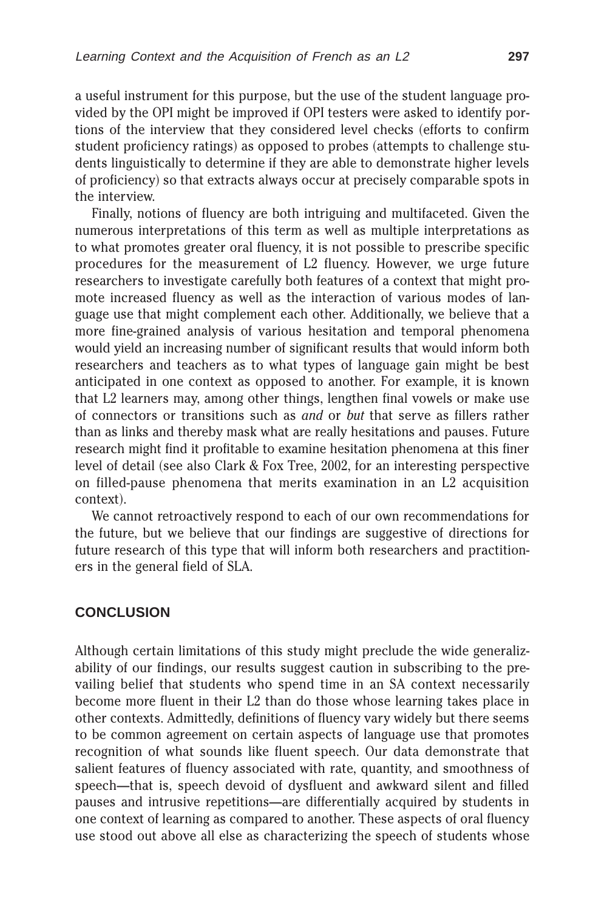a useful instrument for this purpose, but the use of the student language provided by the OPI might be improved if OPI testers were asked to identify portions of the interview that they considered level checks (efforts to confirm student proficiency ratings) as opposed to probes (attempts to challenge students linguistically to determine if they are able to demonstrate higher levels of proficiency) so that extracts always occur at precisely comparable spots in the interview.

Finally, notions of fluency are both intriguing and multifaceted. Given the numerous interpretations of this term as well as multiple interpretations as to what promotes greater oral fluency, it is not possible to prescribe specific procedures for the measurement of L2 fluency. However, we urge future researchers to investigate carefully both features of a context that might promote increased fluency as well as the interaction of various modes of language use that might complement each other. Additionally, we believe that a more fine-grained analysis of various hesitation and temporal phenomena would yield an increasing number of significant results that would inform both researchers and teachers as to what types of language gain might be best anticipated in one context as opposed to another. For example, it is known that L2 learners may, among other things, lengthen final vowels or make use of connectors or transitions such as *and* or *but* that serve as fillers rather than as links and thereby mask what are really hesitations and pauses+ Future research might find it profitable to examine hesitation phenomena at this finer level of detail (see also Clark  $&$  Fox Tree, 2002, for an interesting perspective on filled-pause phenomena that merits examination in an L2 acquisition context).

We cannot retroactively respond to each of our own recommendations for the future, but we believe that our findings are suggestive of directions for future research of this type that will inform both researchers and practitioners in the general field of SLA.

## **CONCLUSION**

Although certain limitations of this study might preclude the wide generalizability of our findings, our results suggest caution in subscribing to the prevailing belief that students who spend time in an SA context necessarily become more fluent in their L2 than do those whose learning takes place in other contexts+ Admittedly, definitions of fluency vary widely but there seems to be common agreement on certain aspects of language use that promotes recognition of what sounds like fluent speech. Our data demonstrate that salient features of fluency associated with rate, quantity, and smoothness of speech—that is, speech devoid of dysfluent and awkward silent and filled pauses and intrusive repetitions—are differentially acquired by students in one context of learning as compared to another. These aspects of oral fluency use stood out above all else as characterizing the speech of students whose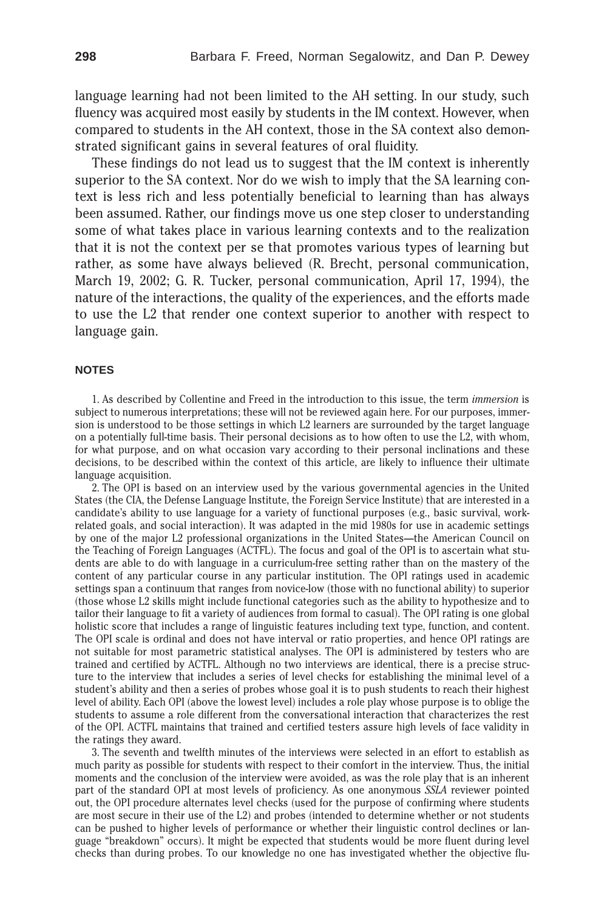language learning had not been limited to the AH setting. In our study, such fluency was acquired most easily by students in the IM context. However, when compared to students in the AH context, those in the SA context also demonstrated significant gains in several features of oral fluidity.

These findings do not lead us to suggest that the IM context is inherently superior to the SA context. Nor do we wish to imply that the SA learning context is less rich and less potentially beneficial to learning than has always been assumed. Rather, our findings move us one step closer to understanding some of what takes place in various learning contexts and to the realization that it is not the context per se that promotes various types of learning but rather, as some have always believed (R. Brecht, personal communication, March 19, 2002; G. R. Tucker, personal communication, April 17, 1994), the nature of the interactions, the quality of the experiences, and the efforts made to use the L2 that render one context superior to another with respect to language gain.

#### **NOTES**

1+ As described by Collentine and Freed in the introduction to this issue, the term *immersion* is subject to numerous interpretations; these will not be reviewed again here. For our purposes, immersion is understood to be those settings in which L2 learners are surrounded by the target language on a potentially full-time basis. Their personal decisions as to how often to use the L2, with whom, for what purpose, and on what occasion vary according to their personal inclinations and these decisions, to be described within the context of this article, are likely to influence their ultimate language acquisition.

2. The OPI is based on an interview used by the various governmental agencies in the United States (the CIA, the Defense Language Institute, the Foreign Service Institute) that are interested in a candidate's ability to use language for a variety of functional purposes  $(e.g., basic survival, work$ related goals, and social interaction). It was adapted in the mid 1980s for use in academic settings by one of the major L2 professional organizations in the United States—the American Council on the Teaching of Foreign Languages (ACTFL). The focus and goal of the OPI is to ascertain what students are able to do with language in a curriculum-free setting rather than on the mastery of the content of any particular course in any particular institution. The OPI ratings used in academic settings span a continuum that ranges from novice-low (those with no functional ability) to superior ~those whose L2 skills might include functional categories such as the ability to hypothesize and to tailor their language to fit a variety of audiences from formal to casual). The OPI rating is one global holistic score that includes a range of linguistic features including text type, function, and content. The OPI scale is ordinal and does not have interval or ratio properties, and hence OPI ratings are not suitable for most parametric statistical analyses. The OPI is administered by testers who are trained and certified by ACTFL. Although no two interviews are identical, there is a precise structure to the interview that includes a series of level checks for establishing the minimal level of a student's ability and then a series of probes whose goal it is to push students to reach their highest level of ability. Each OPI (above the lowest level) includes a role play whose purpose is to oblige the students to assume a role different from the conversational interaction that characterizes the rest of the OPI. ACTFL maintains that trained and certified testers assure high levels of face validity in the ratings they award.

3. The seventh and twelfth minutes of the interviews were selected in an effort to establish as much parity as possible for students with respect to their comfort in the interview. Thus, the initial moments and the conclusion of the interview were avoided, as was the role play that is an inherent part of the standard OPI at most levels of proficiency. As one anonymous *SSLA* reviewer pointed out, the OPI procedure alternates level checks (used for the purpose of confirming where students are most secure in their use of the  $L2$ ) and probes (intended to determine whether or not students can be pushed to higher levels of performance or whether their linguistic control declines or language "breakdown" occurs). It might be expected that students would be more fluent during level checks than during probes. To our knowledge no one has investigated whether the objective flu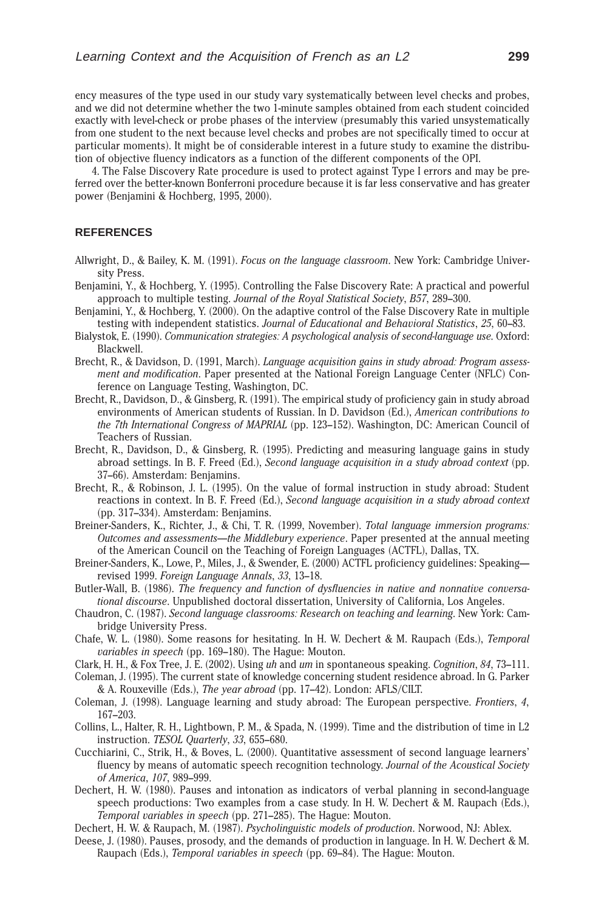ency measures of the type used in our study vary systematically between level checks and probes, and we did not determine whether the two 1-minute samples obtained from each student coincided exactly with level-check or probe phases of the interview (presumably this varied unsystematically from one student to the next because level checks and probes are not specifically timed to occur at particular moments). It might be of considerable interest in a future study to examine the distribution of objective fluency indicators as a function of the different components of the OPI+

4. The False Discovery Rate procedure is used to protect against Type I errors and may be preferred over the better-known Bonferroni procedure because it is far less conservative and has greater power (Benjamini & Hochberg, 1995, 2000).

#### **REFERENCES**

- Allwright, D., & Bailey, K. M. (1991). *Focus on the language classroom*. New York: Cambridge University Press.
- Benjamini, Y., & Hochberg, Y. (1995). Controlling the False Discovery Rate: A practical and powerful approach to multiple testing. *Journal of the Royal Statistical Society*, *B57*, 289–300.
- Benjamini, Y., & Hochberg, Y. (2000). On the adaptive control of the False Discovery Rate in multiple testing with independent statistics+ *Journal of Educational and Behavioral Statistics*, *25*, 60–83+
- Bialystok, E. (1990). *Communication strategies: A psychological analysis of second-language use*. Oxford: Blackwell.
- Brecht, R., & Davidson, D. (1991, March). *Language acquisition gains in study abroad: Program assessment and modification*. Paper presented at the National Foreign Language Center (NFLC) Conference on Language Testing, Washington, DC+
- Brecht, R., Davidson, D., & Ginsberg, R.  $(1991)$ . The empirical study of proficiency gain in study abroad environments of American students of Russian. In D. Davidson (Ed.), *American contributions to the 7th International Congress of MAPRIAL* (pp. 123–152). Washington, DC: American Council of Teachers of Russian+
- Brecht, R., Davidson, D., & Ginsberg, R. (1995). Predicting and measuring language gains in study abroad settings. In B. F. Freed (Ed.), *Second language acquisition in a study abroad context* (pp. 37–66). Amsterdam: Benjamins.
- Brecht, R., & Robinson, J. L. (1995). On the value of formal instruction in study abroad: Student reactions in context. In B. F. Freed (Ed.), *Second language acquisition in a study abroad context*  $(pp, 317-334)$ . Amsterdam: Benjamins.
- Breiner-Sanders, K., Richter, J., & Chi, T. R. (1999, November). *Total language immersion programs: Outcomes and assessments—the Middlebury experience*. Paper presented at the annual meeting of the American Council on the Teaching of Foreign Languages (ACTFL), Dallas, TX.
- Breiner-Sanders, K., Lowe, P., Miles, J., & Swender, E. (2000) ACTFL proficiency guidelines: Speaking revised 1999+ *Foreign Language Annals*, *33*, 13–18+
- Butler-Wall, B. (1986). *The frequency and function of dysfluencies in native and nonnative conversational discourse*. Unpublished doctoral dissertation, University of California, Los Angeles.
- Chaudron, C. (1987). *Second language classrooms: Research on teaching and learning*. New York: Cambridge University Press.
- Chafe, W. L. (1980). Some reasons for hesitating. In H. W. Dechert & M. Raupach (Eds.), *Temporal variables in speech* (pp. 169–180). The Hague: Mouton.
- Clark, H. H., & Fox Tree, J. E.  $(2002)$ . Using *uh* and *um* in spontaneous speaking. *Cognition*,  $84$ , 73–111.
- Coleman, J. (1995). The current state of knowledge concerning student residence abroad. In G. Parker & A. Rouxeville (Eds.), *The year abroad* (pp. 17–42). London: AFLS/CILT.
- Coleman, J. (1998). Language learning and study abroad: The European perspective. *Frontiers*, 4, 167–203+
- Collins, L., Halter, R. H., Lightbown, P. M., & Spada, N.  $(1999)$ . Time and the distribution of time in L2 instruction. *TESOL Quarterly*, 33, 655–680.
- Cucchiarini, C., Strik, H., & Boves, L. (2000). Quantitative assessment of second language learners' fluency by means of automatic speech recognition technology+ *Journal of the Acoustical Society of America*, *107*, 989–999+
- Dechert, H. W. (1980). Pauses and intonation as indicators of verbal planning in second-language speech productions: Two examples from a case study. In H, W. Dechert & M, Raupach (Eds.), *Temporal variables in speech* (pp. 271–285). The Hague: Mouton.
- Dechert, H. W. & Raupach, M. (1987). *Psycholinguistic models of production*. Norwood, NJ: Ablex.
- Deese, J. (1980). Pauses, prosody, and the demands of production in language. In H. W. Dechert & M. Raupach (Eds.), *Temporal variables in speech* (pp. 69–84). The Hague: Mouton.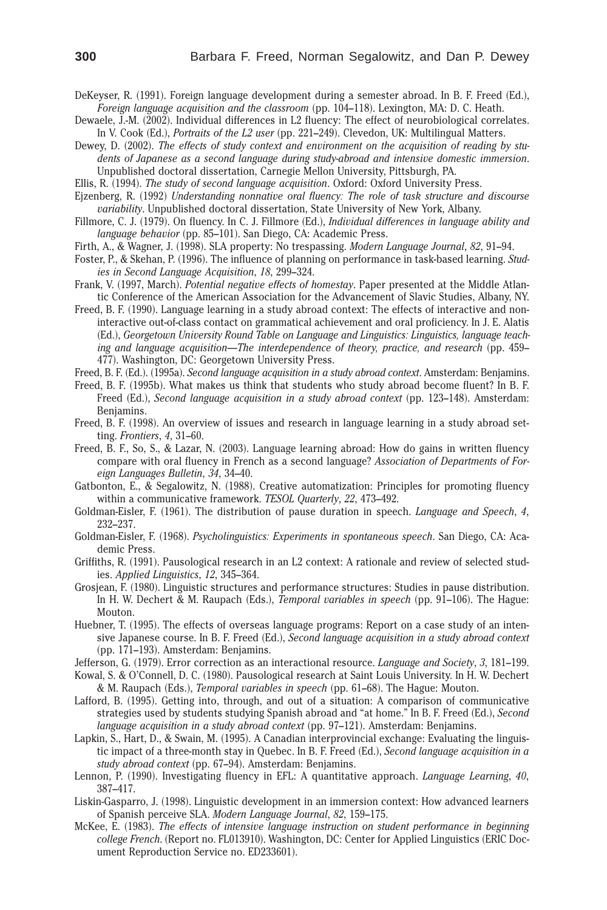DeKeyser, R. (1991). Foreign language development during a semester abroad. In B. F. Freed (Ed.), *Foreign language acquisition and the classroom* (pp. 104–118). Lexington, MA: D. C. Heath.

- Dewaele,  $\bar{J}$ -M.  $(2002)$ . Individual differences in L2 fluency: The effect of neurobiological correlates. In V. Cook (Ed.), *Portraits of the L2 user* (pp. 221–249). Clevedon, UK: Multilingual Matters.
- Dewey, D. (2002). The effects of study context and environment on the acquisition of reading by students of Japanese as a second language during study-abroad and intensive domestic immersion. Unpublished doctoral dissertation, Carnegie Mellon University, Pittsburgh, PA+
- Ellis, R. (1994). *The study of second language acquisition*. Oxford: Oxford University Press.
- Ejzenberg, R. (1992) *Understanding nonnative oral fluency: The role of task structure and discourse variability*. Unpublished doctoral dissertation, State University of New York, Albany.
- Fillmore, C. J. (1979). On fluency. In C. J. Fillmore (Ed.), *Individual differences in language ability and language behavior* (pp. 85–101). San Diego, CA: Academic Press.
- Firth, A., & Wagner, J. (1998). SLA property: No trespassing. *Modern Language Journal*, *82*, 91–94.
- Foster, P., & Skehan, P. (1996). The influence of planning on performance in task-based learning. *Studies in Second Language Acquisition, 18, 299-324.*
- Frank, V. (1997, March). *Potential negative effects of homestay*. Paper presented at the Middle Atlantic Conference of the American Association for the Advancement of Slavic Studies, Albany, NY.
- Freed, B. F. (1990). Language learning in a study abroad context: The effects of interactive and noninteractive out-of-class contact on grammatical achievement and oral proficiency. In J. E. Alatis (Ed.), Georgetown University Round Table on Language and Linguistics: Linguistics, language teach*ing and language acquisition—The interdependence of theory, practice, and research* (pp. 459– 477). Washington, DC: Georgetown University Press.
- Freed, B. F. (Ed.). (1995a). *Second language acquisition in a study abroad context*. Amsterdam: Benjamins.
- Freed, B. F. (1995b). What makes us think that students who study abroad become fluent? In B. F. Freed (Ed.), *Second language acquisition in a study abroad context* (pp. 123–148). Amsterdam: Benjamins.
- Freed, B, F, (1998). An overview of issues and research in language learning in a study abroad setting+ *Frontiers*, *4*, 31–60+
- Freed, B, F., So, S., & Lazar, N. (2003). Language learning abroad: How do gains in written fluency compare with oral fluency in French as a second language? *Association of Departments of Foreign Languages Bulletin*, *34*, 34–40+
- Gatbonton, E., & Segalowitz, N. (1988). Creative automatization: Principles for promoting fluency within a communicative framework. *TESOL Quarterly*, 22, 473–492.
- Goldman-Eisler, F. (1961). The distribution of pause duration in speech. *Language and Speech*, *4*, 232–237+
- Goldman-Eisler, F. (1968). *Psycholinguistics: Experiments in spontaneous speech*. San Diego, CA: Academic Press.
- Griffiths, R. (1991). Pausological research in an L2 context: A rationale and review of selected studies. *Applied Linguistics*, 12, 345–364.
- Grosjean, F. (1980). Linguistic structures and performance structures: Studies in pause distribution. In H, W. Dechert & M. Raupach (Eds.), *Temporal variables in speech* (pp. 91–106). The Hague: Mouton.
- Huebner, T. (1995). The effects of overseas language programs: Report on a case study of an intensive Japanese course. In B. F. Freed (Ed.), *Second language acquisition in a study abroad context*  $(pp. 171-193)$ . Amsterdam: Benjamins.
- Jefferson, G. (1979). Error correction as an interactional resource. *Language and Society*, 3, 181–199.
- Kowal, S. & O'Connell, D. C. (1980). Pausological research at Saint Louis University. In H. W. Dechert & M. Raupach (Eds.), *Temporal variables in speech* (pp. 61–68). The Hague: Mouton.
- Lafford, B. (1995). Getting into, through, and out of a situation: A comparison of communicative strategies used by students studying Spanish abroad and "at home." In B. F. Freed (Ed.), *Second language acquisition in a study abroad context* (pp. 97–121). Amsterdam: Benjamins.
- Lapkin, S., Hart, D., & Swain, M. (1995). A Canadian interprovincial exchange: Evaluating the linguistic impact of a three-month stay in Quebec. In B. F. Freed (Ed.), *Second language acquisition in a study abroad context* (pp. 67–94). Amsterdam: Benjamins.
- Lennon, P. (1990). Investigating fluency in EFL: A quantitative approach. *Language Learning*, 40, 387–417+
- Liskin-Gasparro, J. (1998). Linguistic development in an immersion context: How advanced learners of Spanish perceive SLA. *Modern Language Journal*, 82, 159-175.
- McKee, E. (1983). *The effects of intensive language instruction on student performance in beginning college French*. (Report no. FL013910). Washington, DC: Center for Applied Linguistics (ERIC Document Reproduction Service no. ED233601).